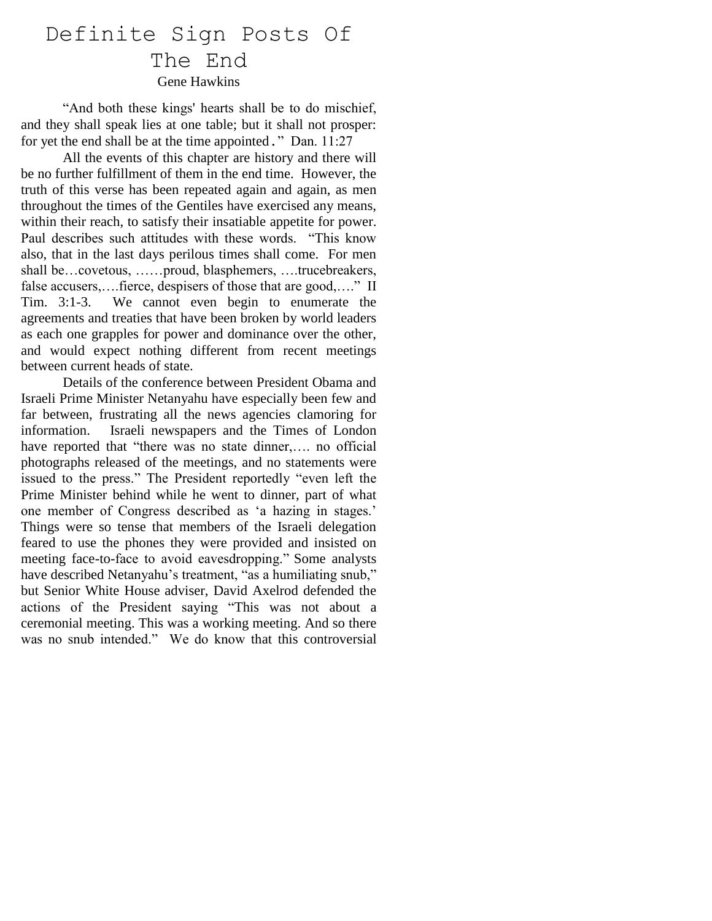# Definite Sign Posts Of The End Gene Hawkins

"And both these kings' hearts shall be to do mischief, and they shall speak lies at one table; but it shall not prosper: for yet the end shall be at the time appointed." Dan.  $11:27$ 

All the events of this chapter are history and there will be no further fulfillment of them in the end time. However, the truth of this verse has been repeated again and again, as men throughout the times of the Gentiles have exercised any means, within their reach, to satisfy their insatiable appetite for power. Paul describes such attitudes with these words. "This know also, that in the last days perilous times shall come. For men shall be…covetous, ……proud, blasphemers, ….trucebreakers, false accusers,....fierce, despisers of those that are good,...." II Tim. 3:1-3. We cannot even begin to enumerate the agreements and treaties that have been broken by world leaders as each one grapples for power and dominance over the other, and would expect nothing different from recent meetings between current heads of state.

Details of the conference between President Obama and Israeli Prime Minister Netanyahu have especially been few and far between, frustrating all the news agencies clamoring for information. Israeli newspapers and the Times of London have reported that "there was no state dinner,.... no official photographs released of the meetings, and no statements were issued to the press." The President reportedly "even left the Prime Minister behind while he went to dinner, part of what one member of Congress described as 'a hazing in stages.' Things were so tense that members of the Israeli delegation feared to use the phones they were provided and insisted on meeting face-to-face to avoid eavesdropping." Some analysts have described Netanyahu's treatment, "as a humiliating snub," but Senior White House adviser, David Axelrod defended the actions of the President saying "This was not about a ceremonial meeting. This was a working meeting. And so there was no snub intended." We do know that this controversial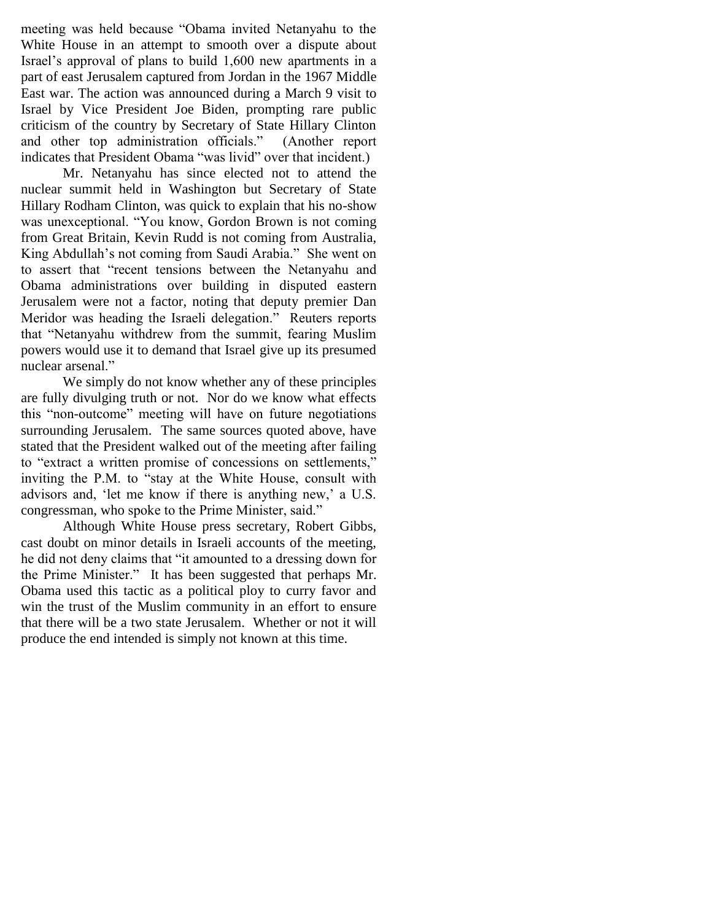meeting was held because "Obama invited Netanyahu to the White House in an attempt to smooth over a dispute about Israel's approval of plans to build 1,600 new apartments in a part of east Jerusalem captured from Jordan in the 1967 Middle East war. The action was announced during a March 9 visit to Israel by Vice President Joe Biden, prompting rare public criticism of the country by Secretary of State Hillary Clinton and other top administration officials." (Another report indicates that President Obama "was livid" over that incident.)

Mr. Netanyahu has since elected not to attend the nuclear summit held in Washington but Secretary of State Hillary Rodham Clinton, was quick to explain that his no-show was unexceptional. "You know, Gordon Brown is not coming from Great Britain, Kevin Rudd is not coming from Australia, King Abdullah's not coming from Saudi Arabia." She went on to assert that "recent tensions between the Netanyahu and Obama administrations over building in disputed eastern Jerusalem were not a factor, noting that deputy premier Dan Meridor was heading the Israeli delegation." Reuters reports that "Netanyahu withdrew from the summit, fearing Muslim powers would use it to demand that Israel give up its presumed nuclear arsenal."

We simply do not know whether any of these principles are fully divulging truth or not. Nor do we know what effects this "non-outcome" meeting will have on future negotiations surrounding Jerusalem. The same sources quoted above, have stated that the President walked out of the meeting after failing to "extract a written promise of concessions on settlements," inviting the P.M. to "stay at the White House, consult with advisors and, 'let me know if there is anything new,' a U.S. congressman, who spoke to the Prime Minister, said."

Although White House press secretary, Robert Gibbs, cast doubt on minor details in Israeli accounts of the meeting, he did not deny claims that "it amounted to a dressing down for the Prime Minister." It has been suggested that perhaps Mr. Obama used this tactic as a political ploy to curry favor and win the trust of the Muslim community in an effort to ensure that there will be a two state Jerusalem. Whether or not it will produce the end intended is simply not known at this time.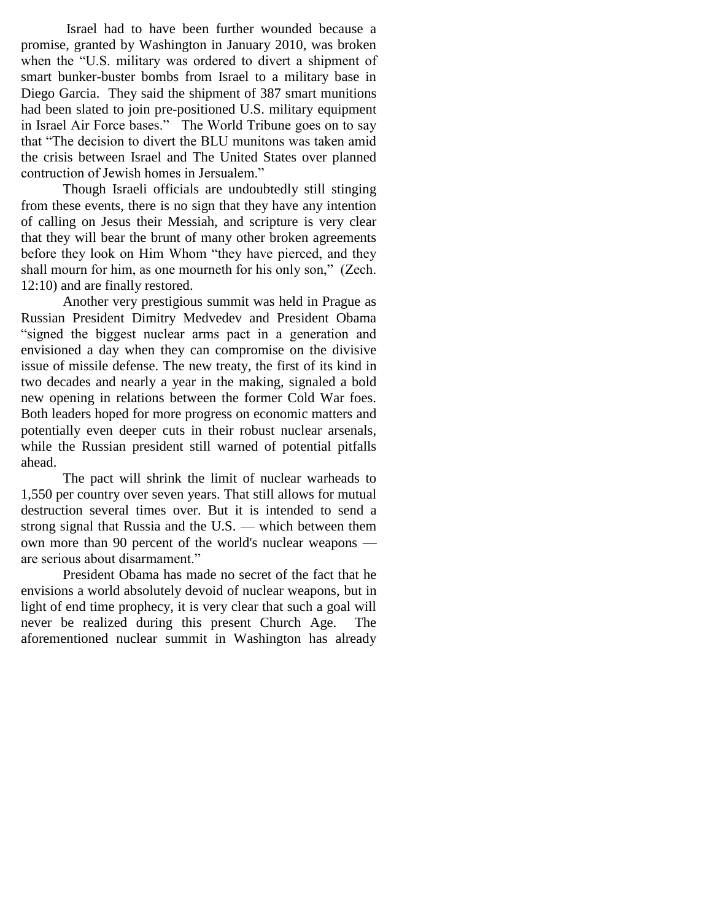Israel had to have been further wounded because a promise, granted by Washington in January 2010, was broken when the "U.S. military was ordered to divert a shipment of smart bunker-buster bombs from Israel to a military base in Diego Garcia. They said the shipment of 387 smart munitions had been slated to join pre-positioned U.S. military equipment in Israel Air Force bases." The World Tribune goes on to say that "The decision to divert the BLU munitons was taken amid the crisis between Israel and The United States over planned contruction of Jewish homes in Jersualem."

Though Israeli officials are undoubtedly still stinging from these events, there is no sign that they have any intention of calling on Jesus their Messiah, and scripture is very clear that they will bear the brunt of many other broken agreements before they look on Him Whom "they have pierced, and they shall mourn for him, as one mourneth for his only son," (Zech. 12:10) and are finally restored.

Another very prestigious summit was held in Prague as Russian President Dimitry Medvedev and President Obama "signed the biggest nuclear arms pact in a generation and envisioned a day when they can compromise on the divisive issue of missile defense. The new treaty, the first of its kind in two decades and nearly a year in the making, signaled a bold new opening in relations between the former Cold War foes. Both leaders hoped for more progress on economic matters and potentially even deeper cuts in their robust nuclear arsenals, while the Russian president still warned of potential pitfalls ahead.

The pact will shrink the limit of nuclear warheads to 1,550 per country over seven years. That still allows for mutual destruction several times over. But it is intended to send a strong signal that Russia and the U.S. — which between them own more than 90 percent of the world's nuclear weapons are serious about disarmament."

President Obama has made no secret of the fact that he envisions a world absolutely devoid of nuclear weapons, but in light of end time prophecy, it is very clear that such a goal will never be realized during this present Church Age. The aforementioned nuclear summit in Washington has already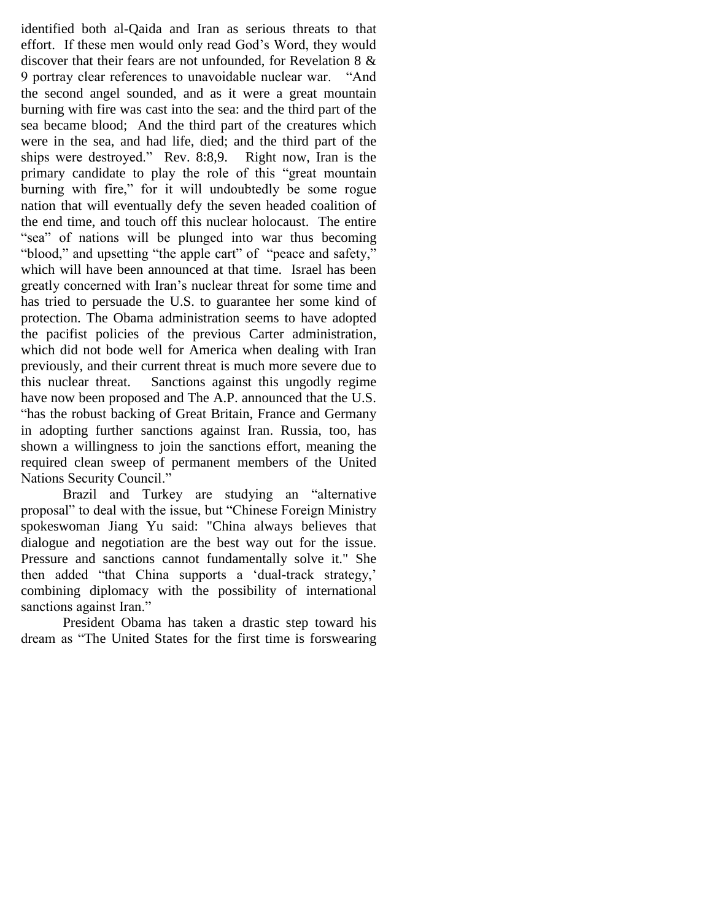identified both al-Qaida and Iran as serious threats to that effort. If these men would only read God's Word, they would discover that their fears are not unfounded, for Revelation 8 & 9 portray clear references to unavoidable nuclear war. "And the second angel sounded, and as it were a great mountain burning with fire was cast into the sea: and the third part of the sea became blood; And the third part of the creatures which were in the sea, and had life, died; and the third part of the ships were destroyed." Rev. 8:8,9. Right now, Iran is the primary candidate to play the role of this "great mountain" burning with fire," for it will undoubtedly be some rogue nation that will eventually defy the seven headed coalition of the end time, and touch off this nuclear holocaust. The entire "sea" of nations will be plunged into war thus becoming "blood," and upsetting "the apple cart" of "peace and safety," which will have been announced at that time. Israel has been greatly concerned with Iran's nuclear threat for some time and has tried to persuade the U.S. to guarantee her some kind of protection. The Obama administration seems to have adopted the pacifist policies of the previous Carter administration, which did not bode well for America when dealing with Iran previously, and their current threat is much more severe due to this nuclear threat. Sanctions against this ungodly regime have now been proposed and The A.P. announced that the U.S. "has the robust backing of Great Britain, France and Germany in adopting further sanctions against Iran. Russia, too, has shown a willingness to join the sanctions effort, meaning the required clean sweep of permanent members of the United Nations Security Council."

Brazil and Turkey are studying an "alternative" proposal" to deal with the issue, but "Chinese Foreign Ministry spokeswoman Jiang Yu said: "China always believes that dialogue and negotiation are the best way out for the issue. Pressure and sanctions cannot fundamentally solve it." She then added "that China supports a 'dual-track strategy,' combining diplomacy with the possibility of international sanctions against Iran."

 President Obama has taken a drastic step toward his dream as "The United States for the first time is forswearing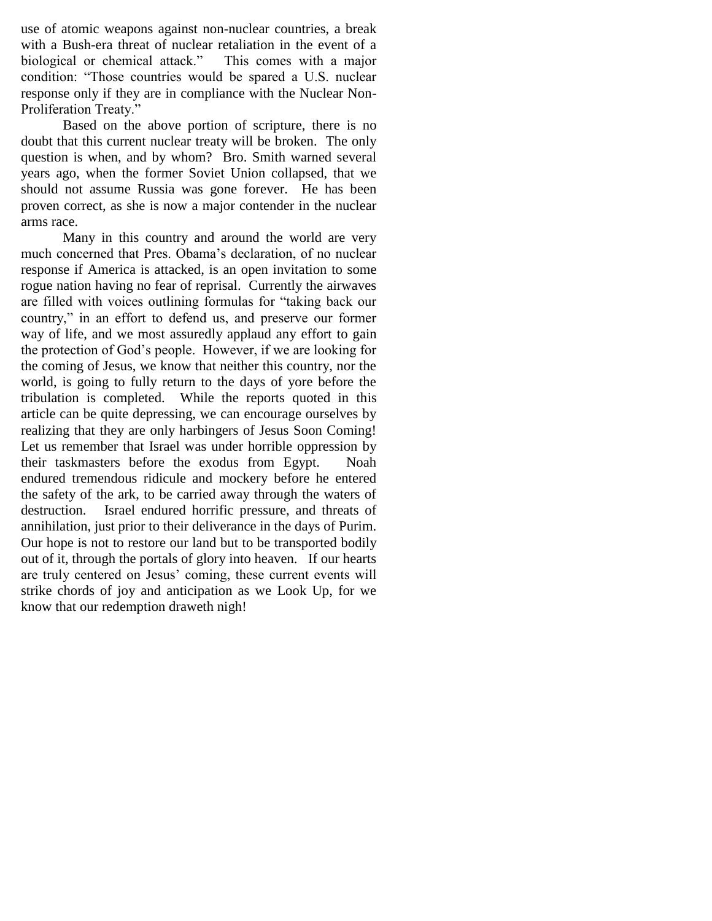use of atomic weapons against non-nuclear countries, a break with a Bush-era threat of nuclear retaliation in the event of a biological or chemical attack." This comes with a major condition: "Those countries would be spared a U.S. nuclear response only if they are in compliance with the Nuclear Non-Proliferation Treaty."

Based on the above portion of scripture, there is no doubt that this current nuclear treaty will be broken. The only question is when, and by whom? Bro. Smith warned several years ago, when the former Soviet Union collapsed, that we should not assume Russia was gone forever. He has been proven correct, as she is now a major contender in the nuclear arms race.

Many in this country and around the world are very much concerned that Pres. Obama's declaration, of no nuclear response if America is attacked, is an open invitation to some rogue nation having no fear of reprisal. Currently the airwaves are filled with voices outlining formulas for "taking back our country," in an effort to defend us, and preserve our former way of life, and we most assuredly applaud any effort to gain the protection of God's people. However, if we are looking for the coming of Jesus, we know that neither this country, nor the world, is going to fully return to the days of yore before the tribulation is completed. While the reports quoted in this article can be quite depressing, we can encourage ourselves by realizing that they are only harbingers of Jesus Soon Coming! Let us remember that Israel was under horrible oppression by their taskmasters before the exodus from Egypt. Noah endured tremendous ridicule and mockery before he entered the safety of the ark, to be carried away through the waters of destruction. Israel endured horrific pressure, and threats of annihilation, just prior to their deliverance in the days of Purim. Our hope is not to restore our land but to be transported bodily out of it, through the portals of glory into heaven. If our hearts are truly centered on Jesus' coming, these current events will strike chords of joy and anticipation as we Look Up, for we know that our redemption draweth nigh!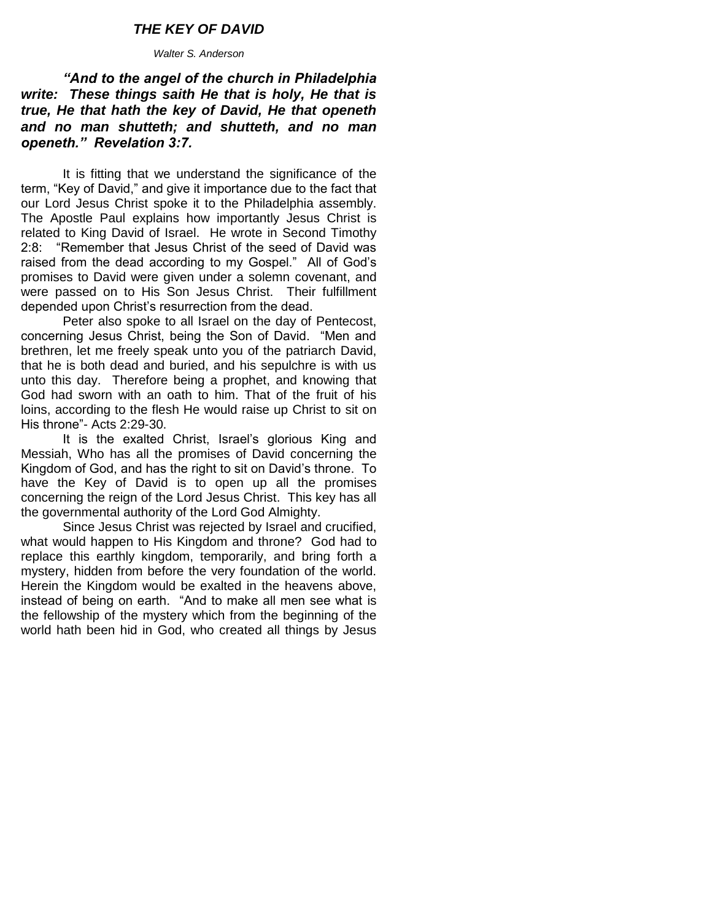## *THE KEY OF DAVID*

#### *Walter S. Anderson*

*"And to the angel of the church in Philadelphia write: These things saith He that is holy, He that is true, He that hath the key of David, He that openeth and no man shutteth; and shutteth, and no man openeth." Revelation 3:7.*

It is fitting that we understand the significance of the term, "Key of David," and give it importance due to the fact that our Lord Jesus Christ spoke it to the Philadelphia assembly. The Apostle Paul explains how importantly Jesus Christ is related to King David of Israel. He wrote in Second Timothy 2:8: "Remember that Jesus Christ of the seed of David was raised from the dead according to my Gospel." All of God's promises to David were given under a solemn covenant, and were passed on to His Son Jesus Christ. Their fulfillment depended upon Christ's resurrection from the dead.

Peter also spoke to all Israel on the day of Pentecost, concerning Jesus Christ, being the Son of David. "Men and brethren, let me freely speak unto you of the patriarch David, that he is both dead and buried, and his sepulchre is with us unto this day. Therefore being a prophet, and knowing that God had sworn with an oath to him. That of the fruit of his loins, according to the flesh He would raise up Christ to sit on His throne"- Acts 2:29-30.

It is the exalted Christ, Israel's glorious King and Messiah, Who has all the promises of David concerning the Kingdom of God, and has the right to sit on David's throne. To have the Key of David is to open up all the promises concerning the reign of the Lord Jesus Christ. This key has all the governmental authority of the Lord God Almighty.

Since Jesus Christ was rejected by Israel and crucified, what would happen to His Kingdom and throne? God had to replace this earthly kingdom, temporarily, and bring forth a mystery, hidden from before the very foundation of the world. Herein the Kingdom would be exalted in the heavens above, instead of being on earth. "And to make all men see what is the fellowship of the mystery which from the beginning of the world hath been hid in God, who created all things by Jesus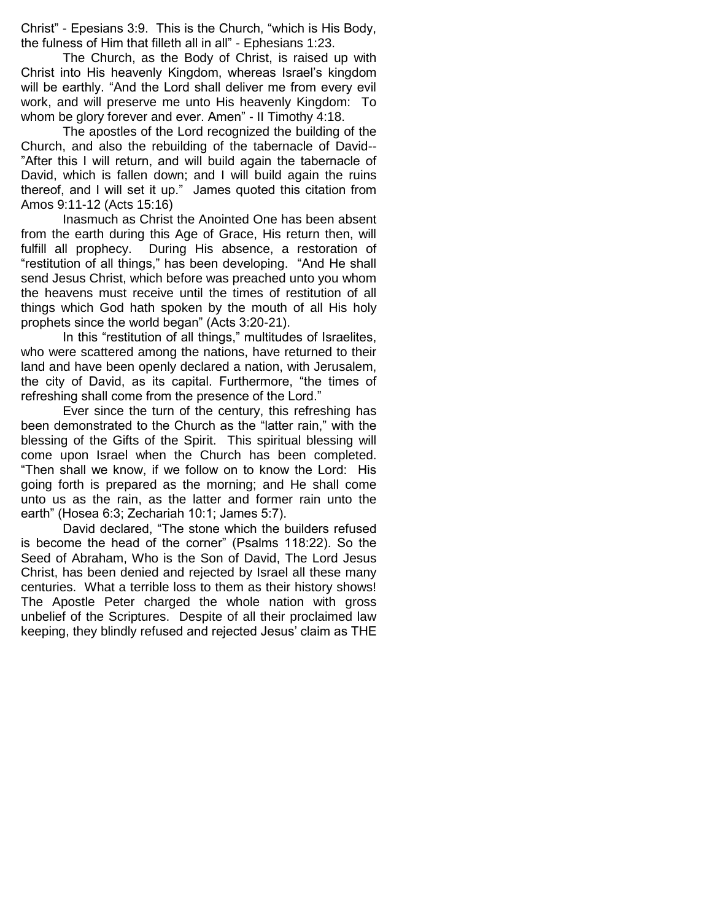Christ" - Epesians 3:9. This is the Church, "which is His Body, the fulness of Him that filleth all in all" - Ephesians 1:23.

The Church, as the Body of Christ, is raised up with Christ into His heavenly Kingdom, whereas Israel's kingdom will be earthly. "And the Lord shall deliver me from every evil work, and will preserve me unto His heavenly Kingdom: To whom be glory forever and ever. Amen" - II Timothy 4:18.

The apostles of the Lord recognized the building of the Church, and also the rebuilding of the tabernacle of David-- "After this I will return, and will build again the tabernacle of David, which is fallen down; and I will build again the ruins thereof, and I will set it up." James quoted this citation from Amos 9:11-12 (Acts 15:16)

Inasmuch as Christ the Anointed One has been absent from the earth during this Age of Grace, His return then, will fulfill all prophecy. During His absence, a restoration of "restitution of all things," has been developing. "And He shall send Jesus Christ, which before was preached unto you whom the heavens must receive until the times of restitution of all things which God hath spoken by the mouth of all His holy prophets since the world began" (Acts 3:20-21).

In this "restitution of all things," multitudes of Israelites, who were scattered among the nations, have returned to their land and have been openly declared a nation, with Jerusalem, the city of David, as its capital. Furthermore, "the times of refreshing shall come from the presence of the Lord."

Ever since the turn of the century, this refreshing has been demonstrated to the Church as the "latter rain," with the blessing of the Gifts of the Spirit. This spiritual blessing will come upon Israel when the Church has been completed. "Then shall we know, if we follow on to know the Lord: His going forth is prepared as the morning; and He shall come unto us as the rain, as the latter and former rain unto the earth" (Hosea 6:3; Zechariah 10:1; James 5:7).

David declared, "The stone which the builders refused is become the head of the corner" (Psalms 118:22). So the Seed of Abraham, Who is the Son of David, The Lord Jesus Christ, has been denied and rejected by Israel all these many centuries. What a terrible loss to them as their history shows! The Apostle Peter charged the whole nation with gross unbelief of the Scriptures. Despite of all their proclaimed law keeping, they blindly refused and rejected Jesus' claim as THE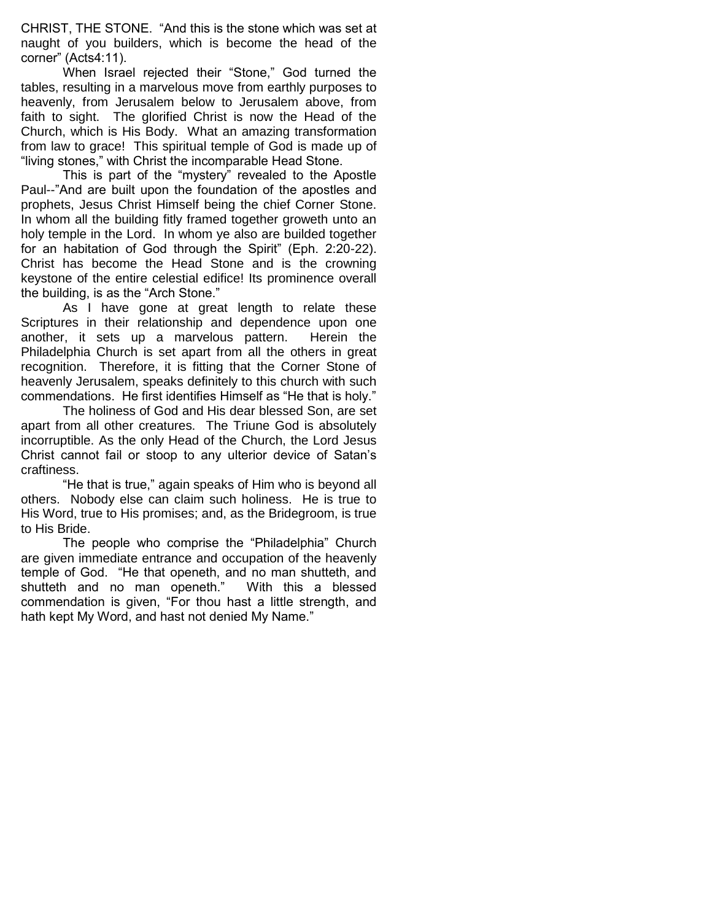CHRIST, THE STONE. "And this is the stone which was set at naught of you builders, which is become the head of the corner" (Acts4:11).

When Israel rejected their "Stone," God turned the tables, resulting in a marvelous move from earthly purposes to heavenly, from Jerusalem below to Jerusalem above, from faith to sight. The glorified Christ is now the Head of the Church, which is His Body. What an amazing transformation from law to grace! This spiritual temple of God is made up of "living stones," with Christ the incomparable Head Stone.

This is part of the "mystery" revealed to the Apostle Paul--"And are built upon the foundation of the apostles and prophets, Jesus Christ Himself being the chief Corner Stone. In whom all the building fitly framed together groweth unto an holy temple in the Lord. In whom ye also are builded together for an habitation of God through the Spirit" (Eph. 2:20-22). Christ has become the Head Stone and is the crowning keystone of the entire celestial edifice! Its prominence overall the building, is as the "Arch Stone."

As I have gone at great length to relate these Scriptures in their relationship and dependence upon one another, it sets up a marvelous pattern. Herein the Philadelphia Church is set apart from all the others in great recognition. Therefore, it is fitting that the Corner Stone of heavenly Jerusalem, speaks definitely to this church with such commendations. He first identifies Himself as "He that is holy."

The holiness of God and His dear blessed Son, are set apart from all other creatures. The Triune God is absolutely incorruptible. As the only Head of the Church, the Lord Jesus Christ cannot fail or stoop to any ulterior device of Satan's craftiness.

"He that is true," again speaks of Him who is beyond all others. Nobody else can claim such holiness. He is true to His Word, true to His promises; and, as the Bridegroom, is true to His Bride.

The people who comprise the "Philadelphia" Church are given immediate entrance and occupation of the heavenly temple of God. "He that openeth, and no man shutteth, and shutteth and no man openeth." With this a blessed commendation is given, "For thou hast a little strength, and hath kept My Word, and hast not denied My Name."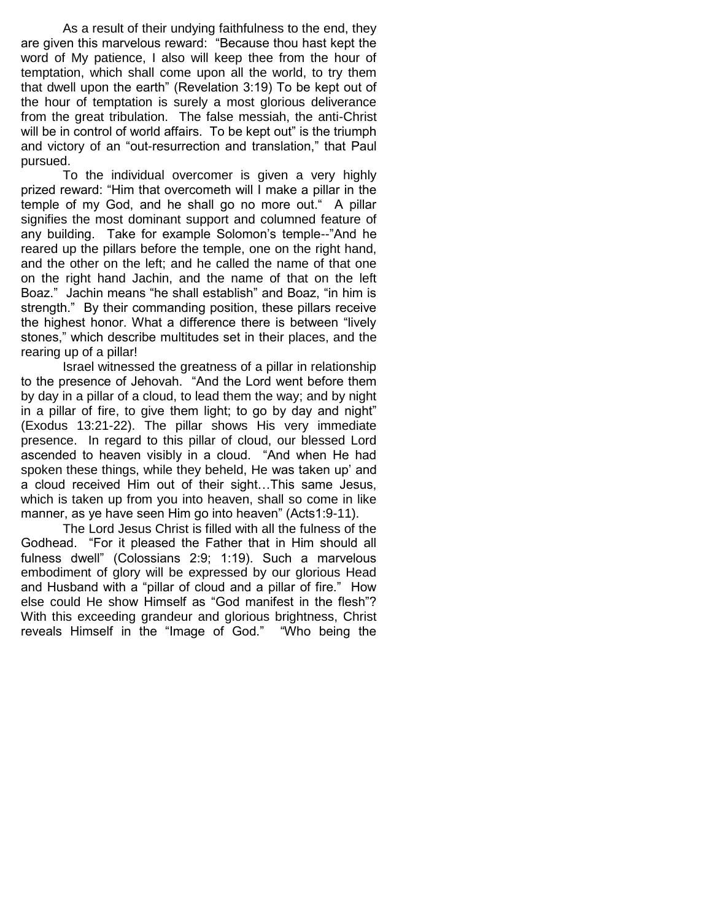As a result of their undying faithfulness to the end, they are given this marvelous reward: "Because thou hast kept the word of My patience, I also will keep thee from the hour of temptation, which shall come upon all the world, to try them that dwell upon the earth" (Revelation 3:19) To be kept out of the hour of temptation is surely a most glorious deliverance from the great tribulation. The false messiah, the anti-Christ will be in control of world affairs. To be kept out" is the triumph and victory of an "out-resurrection and translation," that Paul pursued.

To the individual overcomer is given a very highly prized reward: "Him that overcometh will I make a pillar in the temple of my God, and he shall go no more out." A pillar signifies the most dominant support and columned feature of any building. Take for example Solomon's temple--"And he reared up the pillars before the temple, one on the right hand, and the other on the left; and he called the name of that one on the right hand Jachin, and the name of that on the left Boaz." Jachin means "he shall establish" and Boaz, "in him is strength." By their commanding position, these pillars receive the highest honor. What a difference there is between "lively stones," which describe multitudes set in their places, and the rearing up of a pillar!

Israel witnessed the greatness of a pillar in relationship to the presence of Jehovah. "And the Lord went before them by day in a pillar of a cloud, to lead them the way; and by night in a pillar of fire, to give them light; to go by day and night" (Exodus 13:21-22). The pillar shows His very immediate presence. In regard to this pillar of cloud, our blessed Lord ascended to heaven visibly in a cloud. "And when He had spoken these things, while they beheld, He was taken up' and a cloud received Him out of their sight…This same Jesus, which is taken up from you into heaven, shall so come in like manner, as ye have seen Him go into heaven" (Acts1:9-11).

The Lord Jesus Christ is filled with all the fulness of the Godhead. "For it pleased the Father that in Him should all fulness dwell" (Colossians 2:9; 1:19). Such a marvelous embodiment of glory will be expressed by our glorious Head and Husband with a "pillar of cloud and a pillar of fire." How else could He show Himself as "God manifest in the flesh"? With this exceeding grandeur and glorious brightness, Christ reveals Himself in the "Image of God." "Who being the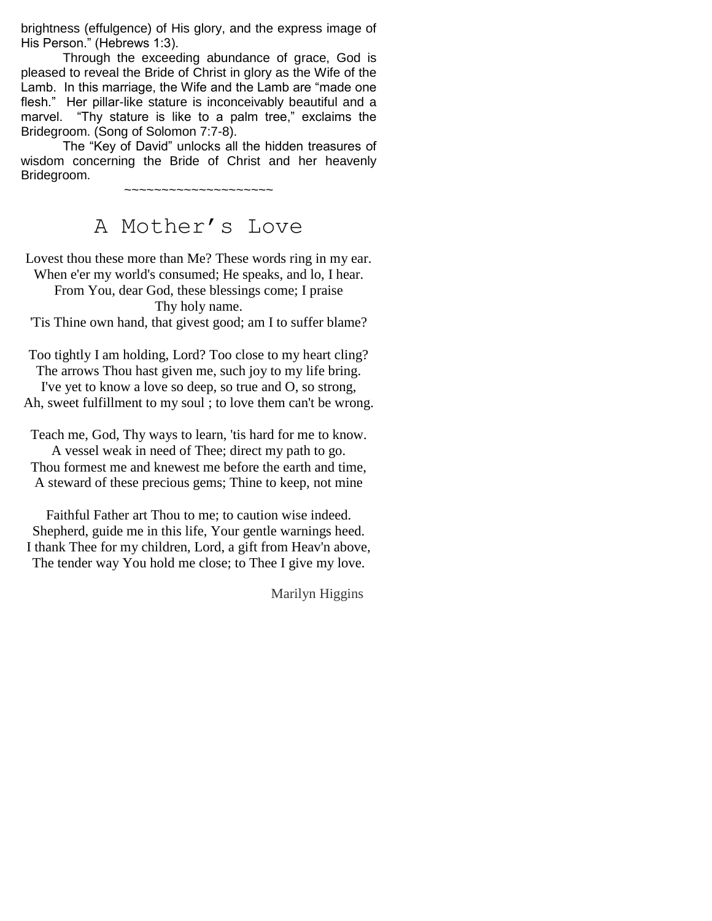brightness (effulgence) of His glory, and the express image of His Person." (Hebrews 1:3).

Through the exceeding abundance of grace, God is pleased to reveal the Bride of Christ in glory as the Wife of the Lamb. In this marriage, the Wife and the Lamb are "made one flesh." Her pillar-like stature is inconceivably beautiful and a marvel. "Thy stature is like to a palm tree," exclaims the Bridegroom. (Song of Solomon 7:7-8).

The "Key of David" unlocks all the hidden treasures of wisdom concerning the Bride of Christ and her heavenly Bridegroom.

~~~~~~~~~~~~~~~~~~~~

# A Mother's Love

Lovest thou these more than Me? These words ring in my ear. When e'er my world's consumed; He speaks, and lo, I hear.

From You, dear God, these blessings come; I praise

Thy holy name.

'Tis Thine own hand, that givest good; am I to suffer blame?

Too tightly I am holding, Lord? Too close to my heart cling? The arrows Thou hast given me, such joy to my life bring. I've yet to know a love so deep, so true and O, so strong, Ah, sweet fulfillment to my soul ; to love them can't be wrong.

Teach me, God, Thy ways to learn, 'tis hard for me to know. A vessel weak in need of Thee; direct my path to go. Thou formest me and knewest me before the earth and time, A steward of these precious gems; Thine to keep, not mine

Faithful Father art Thou to me; to caution wise indeed. Shepherd, guide me in this life, Your gentle warnings heed. I thank Thee for my children, Lord, a gift from Heav'n above, The tender way You hold me close; to Thee I give my love.

Marilyn Higgins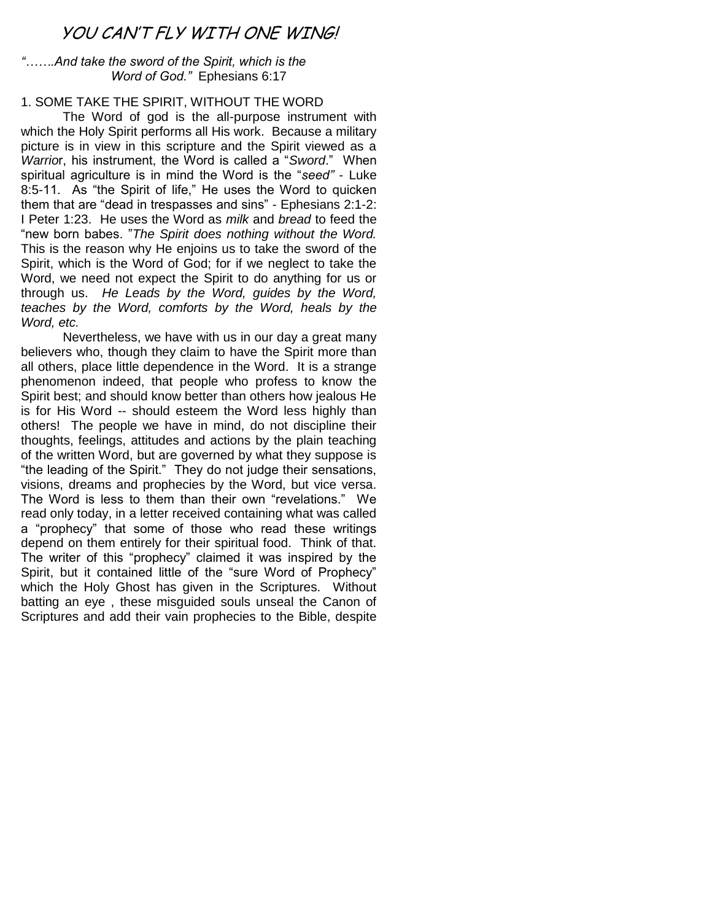# YOU CAN'T FLY WITH ONE WING!

# *"…….And take the sword of the Spirit, which is the Word of God."* Ephesians 6:17

## 1. SOME TAKE THE SPIRIT, WITHOUT THE WORD

The Word of god is the all-purpose instrument with which the Holy Spirit performs all His work. Because a military picture is in view in this scripture and the Spirit viewed as a *Warrio*r, his instrument, the Word is called a "*Sword*." When spiritual agriculture is in mind the Word is the "*seed"* - Luke 8:5-11. As "the Spirit of life," He uses the Word to quicken them that are "dead in trespasses and sins" - Ephesians 2:1-2: I Peter 1:23. He uses the Word as *milk* and *bread* to feed the "new born babes. "*The Spirit does nothing without the Word.*  This is the reason why He enjoins us to take the sword of the Spirit, which is the Word of God; for if we neglect to take the Word, we need not expect the Spirit to do anything for us or through us. *He Leads by the Word, guides by the Word, teaches by the Word, comforts by the Word, heals by the Word, etc.*

Nevertheless, we have with us in our day a great many believers who, though they claim to have the Spirit more than all others, place little dependence in the Word. It is a strange phenomenon indeed, that people who profess to know the Spirit best; and should know better than others how jealous He is for His Word -- should esteem the Word less highly than others! The people we have in mind, do not discipline their thoughts, feelings, attitudes and actions by the plain teaching of the written Word, but are governed by what they suppose is "the leading of the Spirit." They do not judge their sensations, visions, dreams and prophecies by the Word, but vice versa. The Word is less to them than their own "revelations." We read only today, in a letter received containing what was called a "prophecy" that some of those who read these writings depend on them entirely for their spiritual food. Think of that. The writer of this "prophecy" claimed it was inspired by the Spirit, but it contained little of the "sure Word of Prophecy" which the Holy Ghost has given in the Scriptures. Without batting an eye , these misguided souls unseal the Canon of Scriptures and add their vain prophecies to the Bible, despite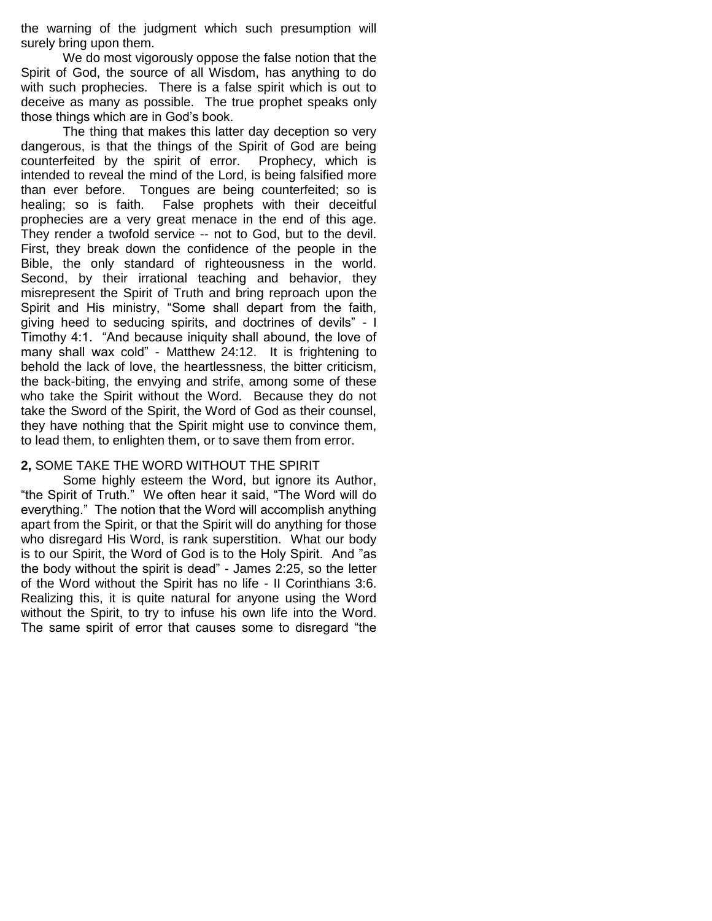the warning of the judgment which such presumption will surely bring upon them.

We do most vigorously oppose the false notion that the Spirit of God, the source of all Wisdom, has anything to do with such prophecies. There is a false spirit which is out to deceive as many as possible. The true prophet speaks only those things which are in God's book.

The thing that makes this latter day deception so very dangerous, is that the things of the Spirit of God are being counterfeited by the spirit of error. Prophecy, which is intended to reveal the mind of the Lord, is being falsified more than ever before. Tongues are being counterfeited; so is healing; so is faith. False prophets with their deceitful prophecies are a very great menace in the end of this age. They render a twofold service -- not to God, but to the devil. First, they break down the confidence of the people in the Bible, the only standard of righteousness in the world. Second, by their irrational teaching and behavior, they misrepresent the Spirit of Truth and bring reproach upon the Spirit and His ministry, "Some shall depart from the faith, giving heed to seducing spirits, and doctrines of devils" - I Timothy 4:1. "And because iniquity shall abound, the love of many shall wax cold" - Matthew 24:12. It is frightening to behold the lack of love, the heartlessness, the bitter criticism, the back-biting, the envying and strife, among some of these who take the Spirit without the Word. Because they do not take the Sword of the Spirit, the Word of God as their counsel, they have nothing that the Spirit might use to convince them, to lead them, to enlighten them, or to save them from error.

### **2,** SOME TAKE THE WORD WITHOUT THE SPIRIT

Some highly esteem the Word, but ignore its Author, "the Spirit of Truth." We often hear it said, "The Word will do everything." The notion that the Word will accomplish anything apart from the Spirit, or that the Spirit will do anything for those who disregard His Word, is rank superstition. What our body is to our Spirit, the Word of God is to the Holy Spirit. And "as the body without the spirit is dead" - James 2:25, so the letter of the Word without the Spirit has no life - II Corinthians 3:6. Realizing this, it is quite natural for anyone using the Word without the Spirit, to try to infuse his own life into the Word. The same spirit of error that causes some to disregard "the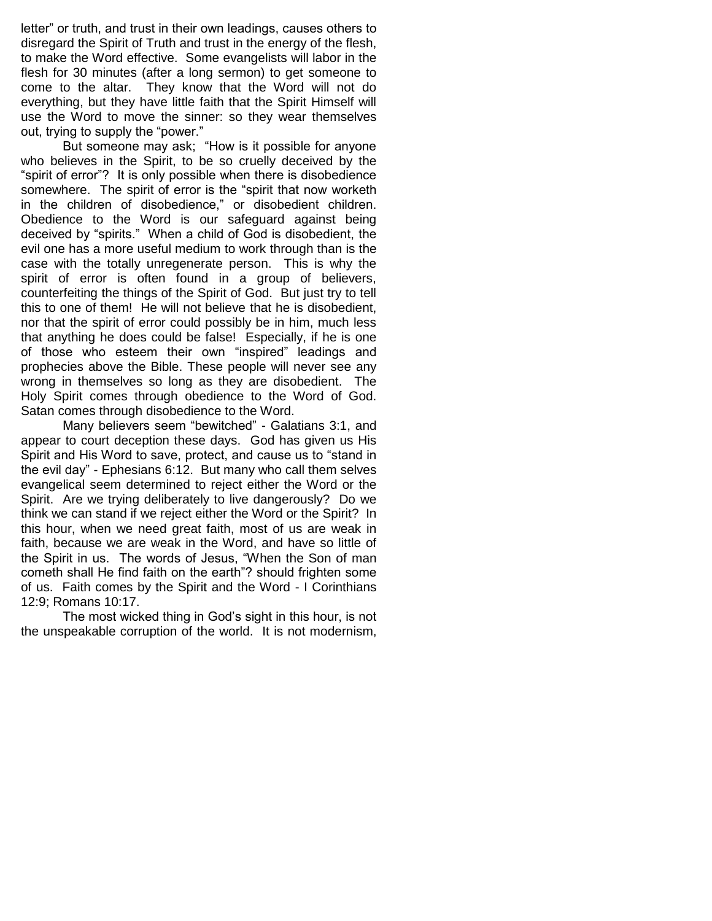letter" or truth, and trust in their own leadings, causes others to disregard the Spirit of Truth and trust in the energy of the flesh, to make the Word effective. Some evangelists will labor in the flesh for 30 minutes (after a long sermon) to get someone to come to the altar. They know that the Word will not do everything, but they have little faith that the Spirit Himself will use the Word to move the sinner: so they wear themselves out, trying to supply the "power."

But someone may ask; "How is it possible for anyone who believes in the Spirit, to be so cruelly deceived by the "spirit of error"? It is only possible when there is disobedience somewhere. The spirit of error is the "spirit that now worketh in the children of disobedience," or disobedient children. Obedience to the Word is our safeguard against being deceived by "spirits." When a child of God is disobedient, the evil one has a more useful medium to work through than is the case with the totally unregenerate person. This is why the spirit of error is often found in a group of believers, counterfeiting the things of the Spirit of God. But just try to tell this to one of them! He will not believe that he is disobedient, nor that the spirit of error could possibly be in him, much less that anything he does could be false! Especially, if he is one of those who esteem their own "inspired" leadings and prophecies above the Bible. These people will never see any wrong in themselves so long as they are disobedient. The Holy Spirit comes through obedience to the Word of God. Satan comes through disobedience to the Word.

Many believers seem "bewitched" - Galatians 3:1, and appear to court deception these days. God has given us His Spirit and His Word to save, protect, and cause us to "stand in the evil day" - Ephesians 6:12. But many who call them selves evangelical seem determined to reject either the Word or the Spirit. Are we trying deliberately to live dangerously? Do we think we can stand if we reject either the Word or the Spirit? In this hour, when we need great faith, most of us are weak in faith, because we are weak in the Word, and have so little of the Spirit in us. The words of Jesus, "When the Son of man cometh shall He find faith on the earth"? should frighten some of us. Faith comes by the Spirit and the Word - I Corinthians 12:9; Romans 10:17.

The most wicked thing in God's sight in this hour, is not the unspeakable corruption of the world. It is not modernism,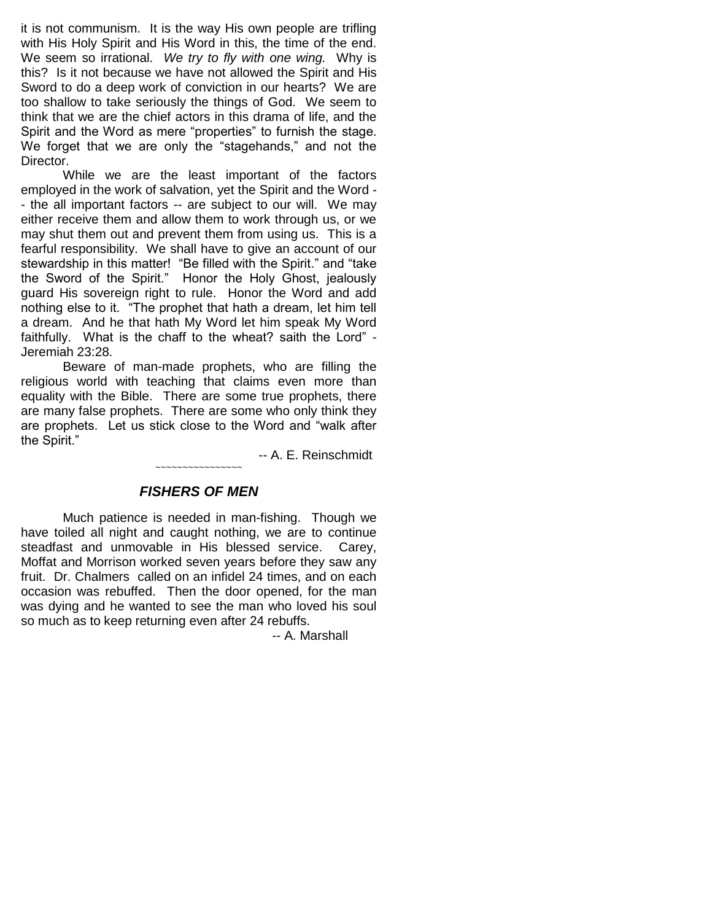it is not communism. It is the way His own people are trifling with His Holy Spirit and His Word in this, the time of the end. We seem so irrational. *We try to fly with one wing.* Why is this? Is it not because we have not allowed the Spirit and His Sword to do a deep work of conviction in our hearts? We are too shallow to take seriously the things of God. We seem to think that we are the chief actors in this drama of life, and the Spirit and the Word as mere "properties" to furnish the stage. We forget that we are only the "stagehands," and not the Director.

While we are the least important of the factors employed in the work of salvation, yet the Spirit and the Word - - the all important factors -- are subject to our will. We may either receive them and allow them to work through us, or we may shut them out and prevent them from using us. This is a fearful responsibility. We shall have to give an account of our stewardship in this matter! "Be filled with the Spirit." and "take the Sword of the Spirit." Honor the Holy Ghost, jealously guard His sovereign right to rule. Honor the Word and add nothing else to it. "The prophet that hath a dream, let him tell a dream. And he that hath My Word let him speak My Word faithfully. What is the chaff to the wheat? saith the Lord" - Jeremiah 23:28.

Beware of man-made prophets, who are filling the religious world with teaching that claims even more than equality with the Bible. There are some true prophets, there are many false prophets. There are some who only think they are prophets. Let us stick close to the Word and "walk after the Spirit."

-- A. E. Reinschmidt

## *FISHERS OF MEN*

~~~~~~~~~~~~~~~~

Much patience is needed in man-fishing. Though we have toiled all night and caught nothing, we are to continue steadfast and unmovable in His blessed service. Carey, Moffat and Morrison worked seven years before they saw any fruit. Dr. Chalmers called on an infidel 24 times, and on each occasion was rebuffed. Then the door opened, for the man was dying and he wanted to see the man who loved his soul so much as to keep returning even after 24 rebuffs.

-- A. Marshall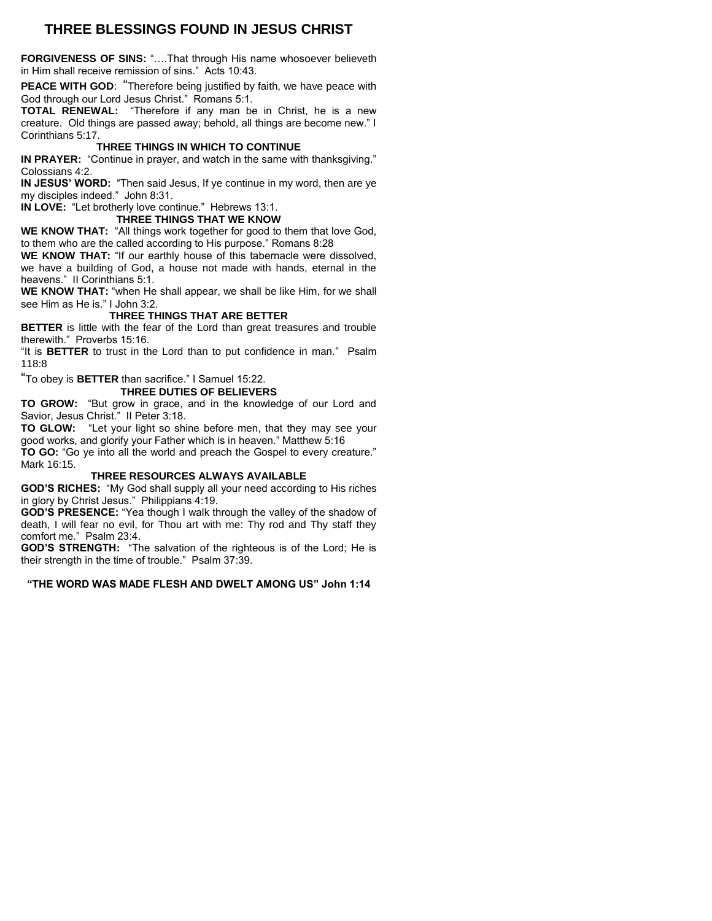# **THREE BLESSINGS FOUND IN JESUS CHRIST**

FORGIVENESS OF SINS: "....That through His name whosoever believeth in Him shall receive remission of sins." Acts 10:43.

**PEACE WITH GOD:** "Therefore being justified by faith, we have peace with God through our Lord Jesus Christ." Romans 5:1.

**TOTAL RENEWAL:** "Therefore if any man be in Christ, he is a new creature. Old things are passed away; behold, all things are become new." I Corinthians 5:17.

### **THREE THINGS IN WHICH TO CONTINUE**

**IN PRAYER:** "Continue in prayer, and watch in the same with thanksgiving." Colossians 4:2.

**IN JESUS' WORD:** "Then said Jesus, If ye continue in my word, then are ye my disciples indeed." John 8:31.

**IN LOVE:** "Let brotherly love continue." Hebrews 13:1.

### **THREE THINGS THAT WE KNOW**

**WE KNOW THAT:** "All things work together for good to them that love God, to them who are the called according to His purpose." Romans 8:28

**WE KNOW THAT:** "If our earthly house of this tabernacle were dissolved, we have a building of God, a house not made with hands, eternal in the heavens." II Corinthians 5:1.

**WE KNOW THAT:** "when He shall appear, we shall be like Him, for we shall see Him as He is." I John 3:2.

### **THREE THINGS THAT ARE BETTER**

**BETTER** is little with the fear of the Lord than great treasures and trouble therewith." Proverbs 15:16.

"It is **BETTER** to trust in the Lord than to put confidence in man." Psalm 118:8

"To obey is **BETTER** than sacrifice." I Samuel 15:22.

### **THREE DUTIES OF BELIEVERS**

**TO GROW:** "But grow in grace, and in the knowledge of our Lord and Savior, Jesus Christ." II Peter 3:18.

**TO GLOW:** "Let your light so shine before men, that they may see your good works, and glorify your Father which is in heaven." Matthew 5:16

**TO GO:** "Go ye into all the world and preach the Gospel to every creature." Mark 16:15.

### **THREE RESOURCES ALWAYS AVAILABLE**

**GOD'S RICHES:** "My God shall supply all your need according to His riches in glory by Christ Jesus." Philippians 4:19.

**GOD'S PRESENCE:** "Yea though I walk through the valley of the shadow of death, I will fear no evil, for Thou art with me: Thy rod and Thy staff they comfort me." Psalm 23:4.

**GOD'S STRENGTH:** "The salvation of the righteous is of the Lord; He is their strength in the time of trouble." Psalm 37:39.

**"THE WORD WAS MADE FLESH AND DWELT AMONG US" John 1:14**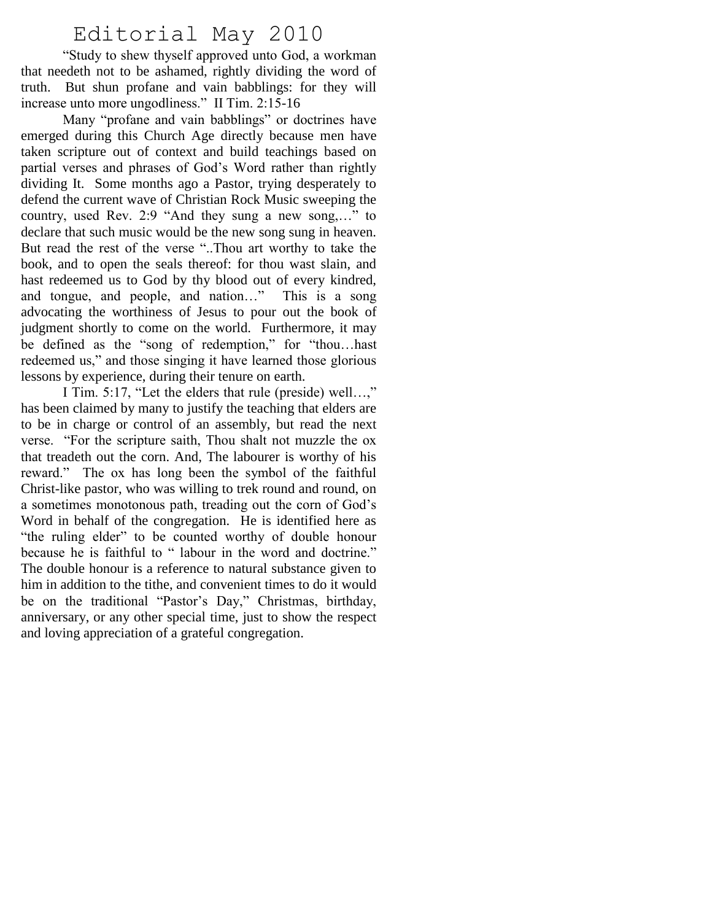# Editorial May 2010

―Study to shew thyself approved unto God, a workman that needeth not to be ashamed, rightly dividing the word of truth. But shun profane and vain babblings: for they will increase unto more ungodliness." II Tim. 2:15-16

Many "profane and vain babblings" or doctrines have emerged during this Church Age directly because men have taken scripture out of context and build teachings based on partial verses and phrases of God's Word rather than rightly dividing It. Some months ago a Pastor, trying desperately to defend the current wave of Christian Rock Music sweeping the country, used Rev.  $2:9$  "And they sung a new song,..." to declare that such music would be the new song sung in heaven. But read the rest of the verse "..Thou art worthy to take the book, and to open the seals thereof: for thou wast slain, and hast redeemed us to God by thy blood out of every kindred, and tongue, and people, and nation…" This is a song advocating the worthiness of Jesus to pour out the book of judgment shortly to come on the world. Furthermore, it may be defined as the "song of redemption," for "thou...hast redeemed us," and those singing it have learned those glorious lessons by experience, during their tenure on earth.

I Tim. 5:17, "Let the elders that rule (preside) well...," has been claimed by many to justify the teaching that elders are to be in charge or control of an assembly, but read the next verse. "For the scripture saith, Thou shalt not muzzle the ox that treadeth out the corn. And, The labourer is worthy of his reward." The ox has long been the symbol of the faithful Christ-like pastor, who was willing to trek round and round, on a sometimes monotonous path, treading out the corn of God's Word in behalf of the congregation. He is identified here as "the ruling elder" to be counted worthy of double honour because he is faithful to " labour in the word and doctrine." The double honour is a reference to natural substance given to him in addition to the tithe, and convenient times to do it would be on the traditional "Pastor's Day," Christmas, birthday, anniversary, or any other special time, just to show the respect and loving appreciation of a grateful congregation.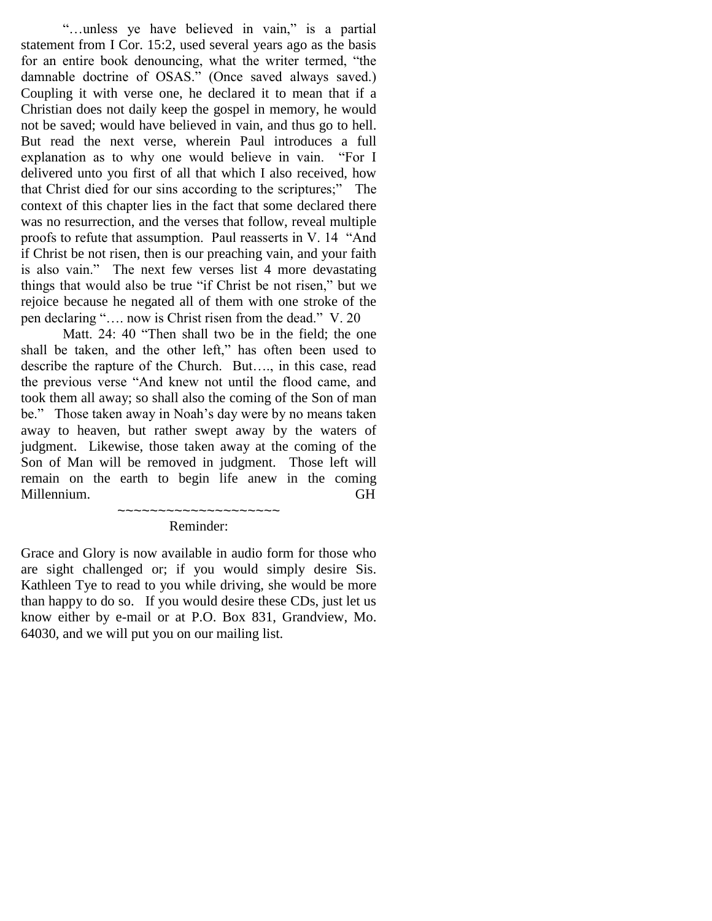"...unless ye have believed in vain," is a partial statement from I Cor. 15:2, used several years ago as the basis for an entire book denouncing, what the writer termed, "the damnable doctrine of OSAS." (Once saved always saved.) Coupling it with verse one, he declared it to mean that if a Christian does not daily keep the gospel in memory, he would not be saved; would have believed in vain, and thus go to hell. But read the next verse, wherein Paul introduces a full explanation as to why one would believe in vain. "For I delivered unto you first of all that which I also received, how that Christ died for our sins according to the scriptures;" The context of this chapter lies in the fact that some declared there was no resurrection, and the verses that follow, reveal multiple proofs to refute that assumption. Paul reasserts in V. 14 "And if Christ be not risen, then is our preaching vain, and your faith is also vain." The next few verses list 4 more devastating things that would also be true "if Christ be not risen," but we rejoice because he negated all of them with one stroke of the pen declaring "... now is Christ risen from the dead." V. 20

Matt. 24: 40 "Then shall two be in the field; the one shall be taken, and the other left," has often been used to describe the rapture of the Church. But…., in this case, read the previous verse "And knew not until the flood came, and took them all away; so shall also the coming of the Son of man be." Those taken away in Noah's day were by no means taken away to heaven, but rather swept away by the waters of judgment. Likewise, those taken away at the coming of the Son of Man will be removed in judgment. Those left will remain on the earth to begin life anew in the coming Millennium. GH

### ~~~~~~~~~~~~~~~~~~~~ Reminder:

Grace and Glory is now available in audio form for those who are sight challenged or; if you would simply desire Sis. Kathleen Tye to read to you while driving, she would be more than happy to do so. If you would desire these CDs, just let us know either by e-mail or at P.O. Box 831, Grandview, Mo. 64030, and we will put you on our mailing list.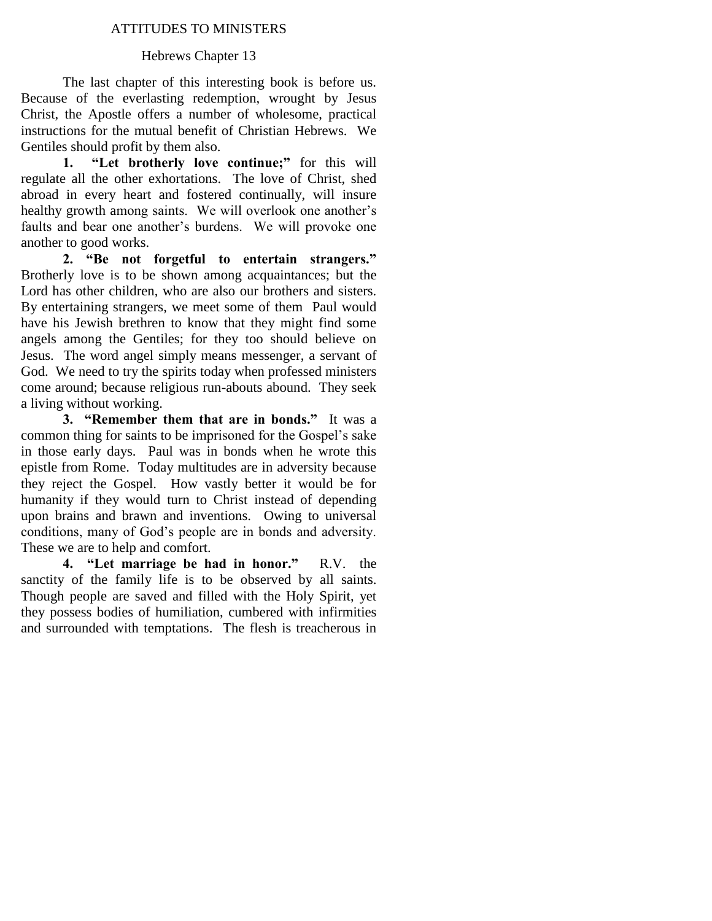## ATTITUDES TO MINISTERS

### Hebrews Chapter 13

The last chapter of this interesting book is before us. Because of the everlasting redemption, wrought by Jesus Christ, the Apostle offers a number of wholesome, practical instructions for the mutual benefit of Christian Hebrews. We Gentiles should profit by them also.

**1. "Let brotherly love continue;"** for this will regulate all the other exhortations. The love of Christ, shed abroad in every heart and fostered continually, will insure healthy growth among saints. We will overlook one another's faults and bear one another's burdens. We will provoke one another to good works.

**2. "Be not forgetful to entertain strangers."**  Brotherly love is to be shown among acquaintances; but the Lord has other children, who are also our brothers and sisters. By entertaining strangers, we meet some of them Paul would have his Jewish brethren to know that they might find some angels among the Gentiles; for they too should believe on Jesus. The word angel simply means messenger, a servant of God. We need to try the spirits today when professed ministers come around; because religious run-abouts abound. They seek a living without working.

**3. "Remember them that are in bonds."** It was a common thing for saints to be imprisoned for the Gospel's sake in those early days. Paul was in bonds when he wrote this epistle from Rome. Today multitudes are in adversity because they reject the Gospel. How vastly better it would be for humanity if they would turn to Christ instead of depending upon brains and brawn and inventions. Owing to universal conditions, many of God's people are in bonds and adversity. These we are to help and comfort.

**4. "Let marriage be had in honor."** R.V. the sanctity of the family life is to be observed by all saints. Though people are saved and filled with the Holy Spirit, yet they possess bodies of humiliation, cumbered with infirmities and surrounded with temptations. The flesh is treacherous in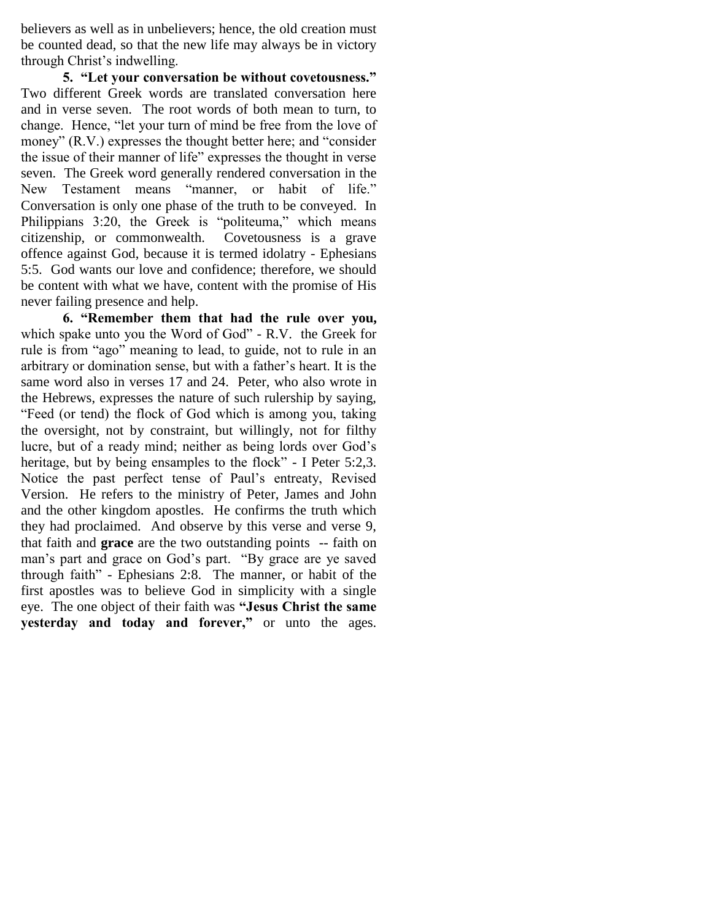believers as well as in unbelievers; hence, the old creation must be counted dead, so that the new life may always be in victory through Christ's indwelling.

**5. "Let your conversation be without covetousness."**  Two different Greek words are translated conversation here and in verse seven. The root words of both mean to turn, to change. Hence, "let your turn of mind be free from the love of money"  $(R.V.)$  expresses the thought better here; and "consider the issue of their manner of life" expresses the thought in verse seven. The Greek word generally rendered conversation in the New Testament means "manner, or habit of life." Conversation is only one phase of the truth to be conveyed. In Philippians 3:20, the Greek is "politeuma," which means citizenship, or commonwealth. Covetousness is a grave offence against God, because it is termed idolatry - Ephesians 5:5. God wants our love and confidence; therefore, we should be content with what we have, content with the promise of His never failing presence and help.

**6. "Remember them that had the rule over you,**  which spake unto you the Word of God" - R.V. the Greek for rule is from "ago" meaning to lead, to guide, not to rule in an arbitrary or domination sense, but with a father's heart. It is the same word also in verses 17 and 24. Peter, who also wrote in the Hebrews, expresses the nature of such rulership by saying, ―Feed (or tend) the flock of God which is among you, taking the oversight, not by constraint, but willingly, not for filthy lucre, but of a ready mind; neither as being lords over God's heritage, but by being ensamples to the flock" - I Peter  $5:2,3$ . Notice the past perfect tense of Paul's entreaty, Revised Version. He refers to the ministry of Peter, James and John and the other kingdom apostles. He confirms the truth which they had proclaimed. And observe by this verse and verse 9, that faith and **grace** are the two outstanding points -- faith on man's part and grace on God's part. "By grace are ye saved through faith" - Ephesians 2:8. The manner, or habit of the first apostles was to believe God in simplicity with a single eye. The one object of their faith was **"Jesus Christ the same vesterday and today and forever,"** or unto the ages.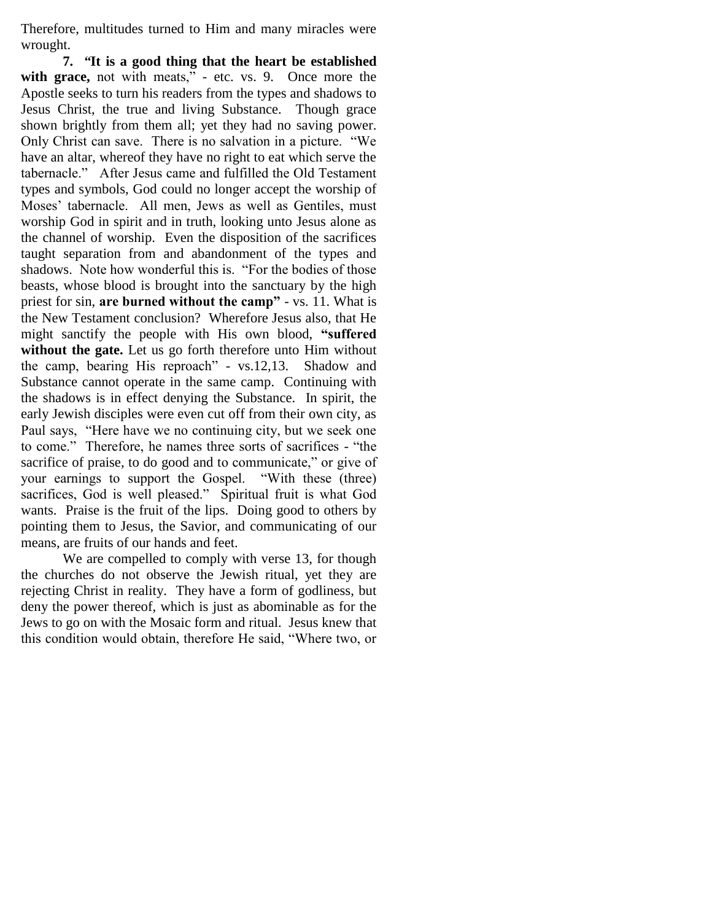Therefore, multitudes turned to Him and many miracles were wrought.

**7.** *"***It is a good thing that the heart be established**  with grace, not with meats," - etc. vs. 9. Once more the Apostle seeks to turn his readers from the types and shadows to Jesus Christ, the true and living Substance. Though grace shown brightly from them all; yet they had no saving power. Only Christ can save. There is no salvation in a picture. "We have an altar, whereof they have no right to eat which serve the tabernacle." After Jesus came and fulfilled the Old Testament types and symbols, God could no longer accept the worship of Moses' tabernacle. All men, Jews as well as Gentiles, must worship God in spirit and in truth, looking unto Jesus alone as the channel of worship. Even the disposition of the sacrifices taught separation from and abandonment of the types and shadows. Note how wonderful this is. "For the bodies of those beasts, whose blood is brought into the sanctuary by the high priest for sin, **are burned without the camp"** - vs. 11. What is the New Testament conclusion? Wherefore Jesus also, that He might sanctify the people with His own blood, **"suffered without the gate.** Let us go forth therefore unto Him without the camp, bearing His reproach" -  $vs.12,13$ . Shadow and Substance cannot operate in the same camp. Continuing with the shadows is in effect denying the Substance. In spirit, the early Jewish disciples were even cut off from their own city, as Paul says, "Here have we no continuing city, but we seek one to come." Therefore, he names three sorts of sacrifices - "the sacrifice of praise, to do good and to communicate," or give of your earnings to support the Gospel. "With these (three) sacrifices, God is well pleased." Spiritual fruit is what God wants. Praise is the fruit of the lips. Doing good to others by pointing them to Jesus, the Savior, and communicating of our means, are fruits of our hands and feet.

We are compelled to comply with verse 13, for though the churches do not observe the Jewish ritual, yet they are rejecting Christ in reality. They have a form of godliness, but deny the power thereof, which is just as abominable as for the Jews to go on with the Mosaic form and ritual. Jesus knew that this condition would obtain, therefore He said, "Where two, or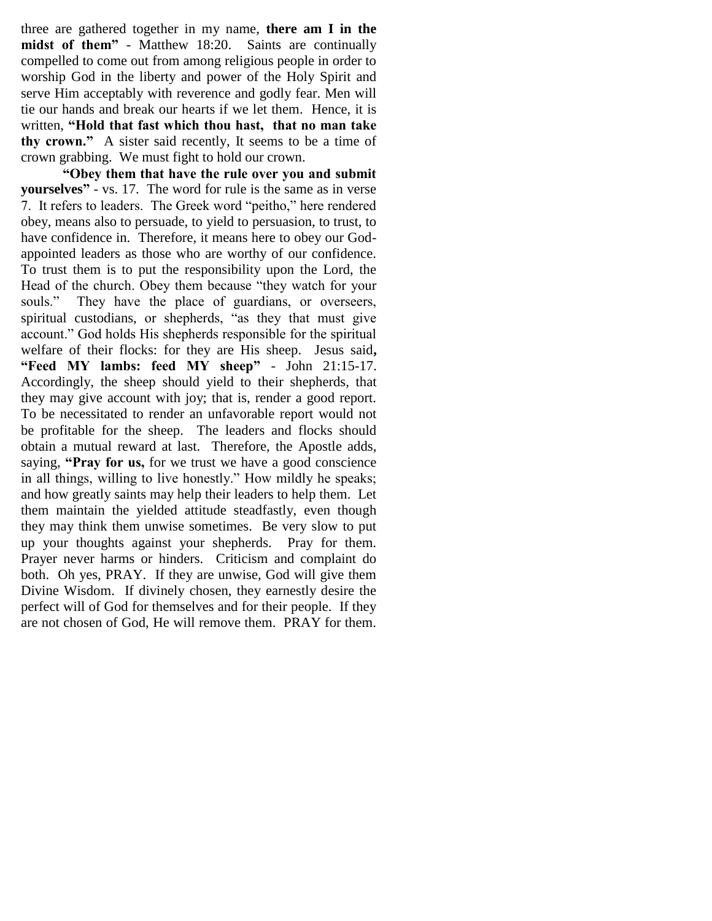three are gathered together in my name, **there am I in the midst of them"** - Matthew 18:20. Saints are continually compelled to come out from among religious people in order to worship God in the liberty and power of the Holy Spirit and serve Him acceptably with reverence and godly fear. Men will tie our hands and break our hearts if we let them. Hence, it is written, **"Hold that fast which thou hast, that no man take thy crown."** A sister said recently, It seems to be a time of crown grabbing. We must fight to hold our crown.

**"Obey them that have the rule over you and submit yourselves"** - vs. 17. The word for rule is the same as in verse 7. It refers to leaders. The Greek word "peitho," here rendered obey, means also to persuade, to yield to persuasion, to trust, to have confidence in. Therefore, it means here to obey our Godappointed leaders as those who are worthy of our confidence. To trust them is to put the responsibility upon the Lord, the Head of the church. Obey them because "they watch for your souls." They have the place of guardians, or overseers, spiritual custodians, or shepherds, "as they that must give account." God holds His shepherds responsible for the spiritual welfare of their flocks: for they are His sheep. Jesus said**, "Feed MY lambs: feed MY sheep"** - John 21:15-17. Accordingly, the sheep should yield to their shepherds, that they may give account with joy; that is, render a good report. To be necessitated to render an unfavorable report would not be profitable for the sheep. The leaders and flocks should obtain a mutual reward at last. Therefore, the Apostle adds, saying, **"Pray for us,** for we trust we have a good conscience in all things, willing to live honestly." How mildly he speaks; and how greatly saints may help their leaders to help them. Let them maintain the yielded attitude steadfastly, even though they may think them unwise sometimes. Be very slow to put up your thoughts against your shepherds. Pray for them. Prayer never harms or hinders. Criticism and complaint do both. Oh yes, PRAY. If they are unwise, God will give them Divine Wisdom. If divinely chosen, they earnestly desire the perfect will of God for themselves and for their people. If they are not chosen of God, He will remove them. PRAY for them.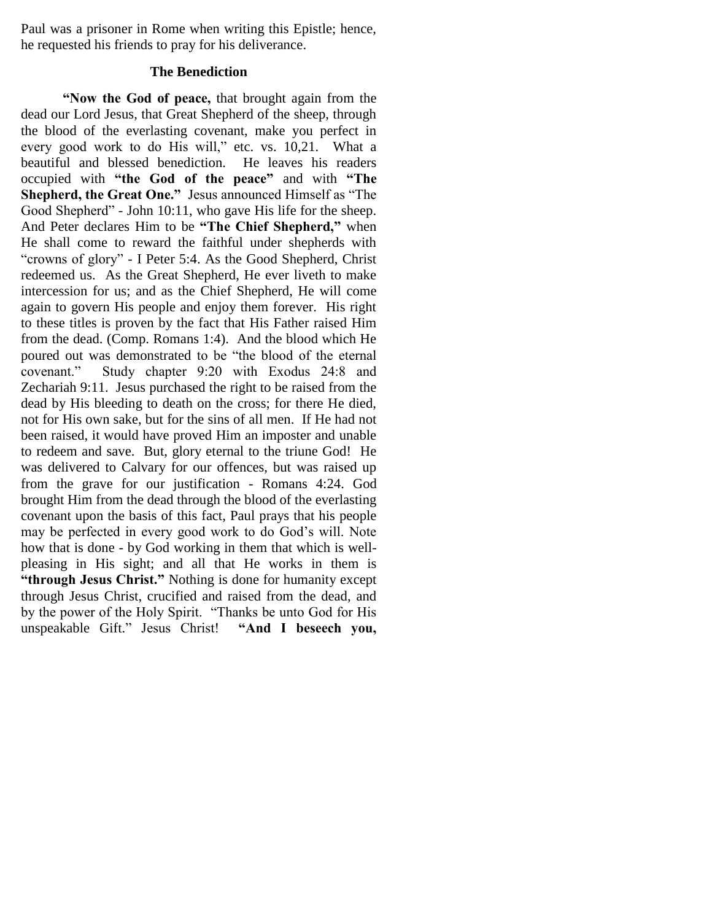Paul was a prisoner in Rome when writing this Epistle; hence, he requested his friends to pray for his deliverance.

## **The Benediction**

**"Now the God of peace,** that brought again from the dead our Lord Jesus, that Great Shepherd of the sheep, through the blood of the everlasting covenant, make you perfect in every good work to do His will," etc. vs. 10,21. What a beautiful and blessed benediction. He leaves his readers occupied with **"the God of the peace"** and with **"The Shepherd, the Great One."** Jesus announced Himself as "The Good Shepherd" - John 10:11, who gave His life for the sheep. And Peter declares Him to be **"The Chief Shepherd,"** when He shall come to reward the faithful under shepherds with "crowns of glory" - I Peter 5:4. As the Good Shepherd, Christ redeemed us. As the Great Shepherd, He ever liveth to make intercession for us; and as the Chief Shepherd, He will come again to govern His people and enjoy them forever. His right to these titles is proven by the fact that His Father raised Him from the dead. (Comp. Romans 1:4). And the blood which He poured out was demonstrated to be "the blood of the eternal covenant.‖ Study chapter 9:20 with Exodus 24:8 and Zechariah 9:11. Jesus purchased the right to be raised from the dead by His bleeding to death on the cross; for there He died, not for His own sake, but for the sins of all men. If He had not been raised, it would have proved Him an imposter and unable to redeem and save. But, glory eternal to the triune God! He was delivered to Calvary for our offences, but was raised up from the grave for our justification - Romans 4:24. God brought Him from the dead through the blood of the everlasting covenant upon the basis of this fact, Paul prays that his people may be perfected in every good work to do God's will. Note how that is done - by God working in them that which is wellpleasing in His sight; and all that He works in them is **"through Jesus Christ."** Nothing is done for humanity except through Jesus Christ, crucified and raised from the dead, and by the power of the Holy Spirit. "Thanks be unto God for His unspeakable Gift.‖ Jesus Christ! **"And I beseech you,**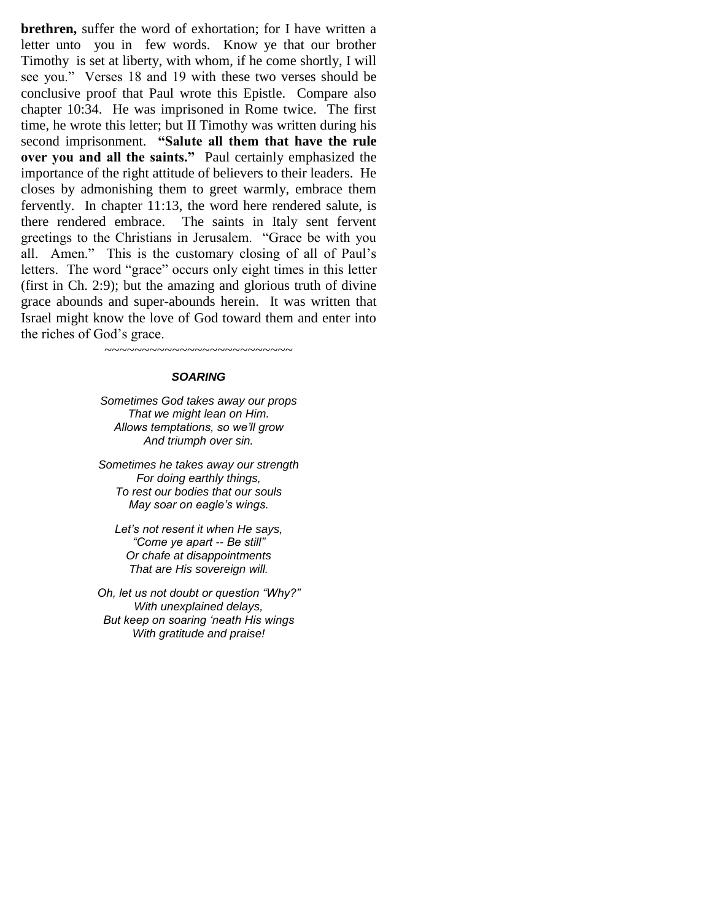**brethren,** suffer the word of exhortation; for I have written a letter unto you in few words. Know ye that our brother Timothy is set at liberty, with whom, if he come shortly, I will see you." Verses 18 and 19 with these two verses should be conclusive proof that Paul wrote this Epistle. Compare also chapter 10:34. He was imprisoned in Rome twice. The first time, he wrote this letter; but II Timothy was written during his second imprisonment. **"Salute all them that have the rule over you and all the saints."** Paul certainly emphasized the importance of the right attitude of believers to their leaders. He closes by admonishing them to greet warmly, embrace them fervently. In chapter 11:13, the word here rendered salute, is there rendered embrace. The saints in Italy sent fervent greetings to the Christians in Jerusalem. "Grace be with you all. Amen." This is the customary closing of all of Paul's letters. The word "grace" occurs only eight times in this letter (first in Ch. 2:9); but the amazing and glorious truth of divine grace abounds and super-abounds herein. It was written that Israel might know the love of God toward them and enter into the riches of God's grace.

#### *SOARING*

~~~~~~~~~~~~~~~~~~

*Sometimes God takes away our props That we might lean on Him. Allows temptations, so we"ll grow And triumph over sin.*

*Sometimes he takes away our strength For doing earthly things, To rest our bodies that our souls May soar on eagle"s wings.*

*Let"s not resent it when He says, "Come ye apart -- Be still" Or chafe at disappointments That are His sovereign will.*

*Oh, let us not doubt or question "Why?" With unexplained delays, But keep on soaring "neath His wings With gratitude and praise!*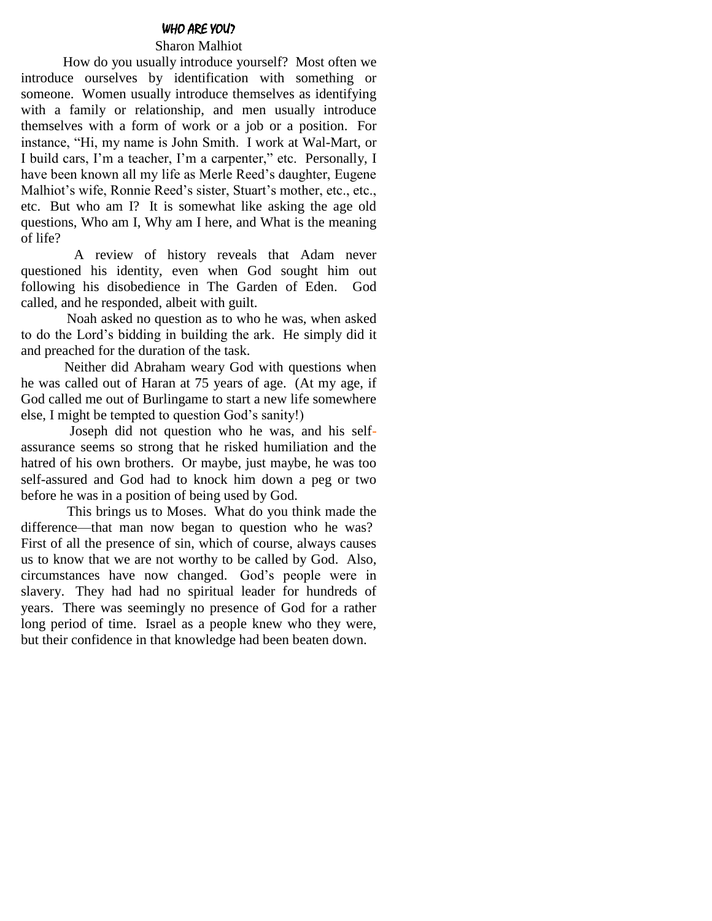## WHO ARE YOU?

### Sharon Malhiot

 How do you usually introduce yourself? Most often we introduce ourselves by identification with something or someone. Women usually introduce themselves as identifying with a family or relationship, and men usually introduce themselves with a form of work or a job or a position. For instance, "Hi, my name is John Smith. I work at Wal-Mart, or I build cars, I'm a teacher, I'm a carpenter," etc. Personally, I have been known all my life as Merle Reed's daughter, Eugene Malhiot's wife, Ronnie Reed's sister, Stuart's mother, etc., etc., etc. But who am I? It is somewhat like asking the age old questions, Who am I, Why am I here, and What is the meaning of life?

 A review of history reveals that Adam never questioned his identity, even when God sought him out following his disobedience in The Garden of Eden. God called, and he responded, albeit with guilt.

 Noah asked no question as to who he was, when asked to do the Lord's bidding in building the ark. He simply did it and preached for the duration of the task.

 Neither did Abraham weary God with questions when he was called out of Haran at 75 years of age. (At my age, if God called me out of Burlingame to start a new life somewhere else, I might be tempted to question God's sanity!)

 Joseph did not question who he was, and his selfassurance seems so strong that he risked humiliation and the hatred of his own brothers. Or maybe, just maybe, he was too self-assured and God had to knock him down a peg or two before he was in a position of being used by God.

 This brings us to Moses. What do you think made the difference—that man now began to question who he was? First of all the presence of sin, which of course, always causes us to know that we are not worthy to be called by God. Also, circumstances have now changed. God's people were in slavery. They had had no spiritual leader for hundreds of years. There was seemingly no presence of God for a rather long period of time. Israel as a people knew who they were, but their confidence in that knowledge had been beaten down.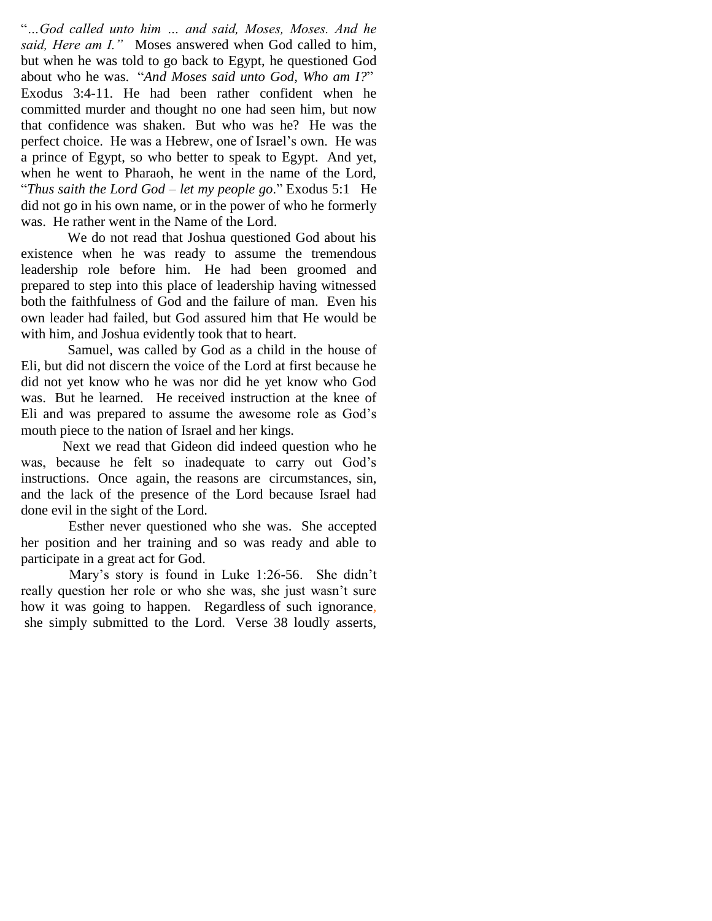―*…God called unto him … and said, Moses, Moses. And he said, Here am I."* Moses answered when God called to him, but when he was told to go back to Egypt, he questioned God about who he was. "And Moses said unto God, Who am I?" Exodus 3:4-11. He had been rather confident when he committed murder and thought no one had seen him, but now that confidence was shaken. But who was he? He was the perfect choice. He was a Hebrew, one of Israel's own. He was a prince of Egypt, so who better to speak to Egypt. And yet, when he went to Pharaoh, he went in the name of the Lord, ―*Thus saith the Lord God – let my people go*.‖ Exodus 5:1 He did not go in his own name, or in the power of who he formerly was. He rather went in the Name of the Lord.

 We do not read that Joshua questioned God about his existence when he was ready to assume the tremendous leadership role before him. He had been groomed and prepared to step into this place of leadership having witnessed both the faithfulness of God and the failure of man. Even his own leader had failed, but God assured him that He would be with him, and Joshua evidently took that to heart.

 Samuel, was called by God as a child in the house of Eli, but did not discern the voice of the Lord at first because he did not yet know who he was nor did he yet know who God was. But he learned. He received instruction at the knee of Eli and was prepared to assume the awesome role as God's mouth piece to the nation of Israel and her kings.

Next we read that Gideon did indeed question who he was, because he felt so inadequate to carry out God's instructions. Once again, the reasons are circumstances, sin, and the lack of the presence of the Lord because Israel had done evil in the sight of the Lord.

 Esther never questioned who she was. She accepted her position and her training and so was ready and able to participate in a great act for God.

 Mary's story is found in Luke 1:26-56. She didn't really question her role or who she was, she just wasn't sure how it was going to happen. Regardless of such ignorance, she simply submitted to the Lord. Verse 38 loudly asserts,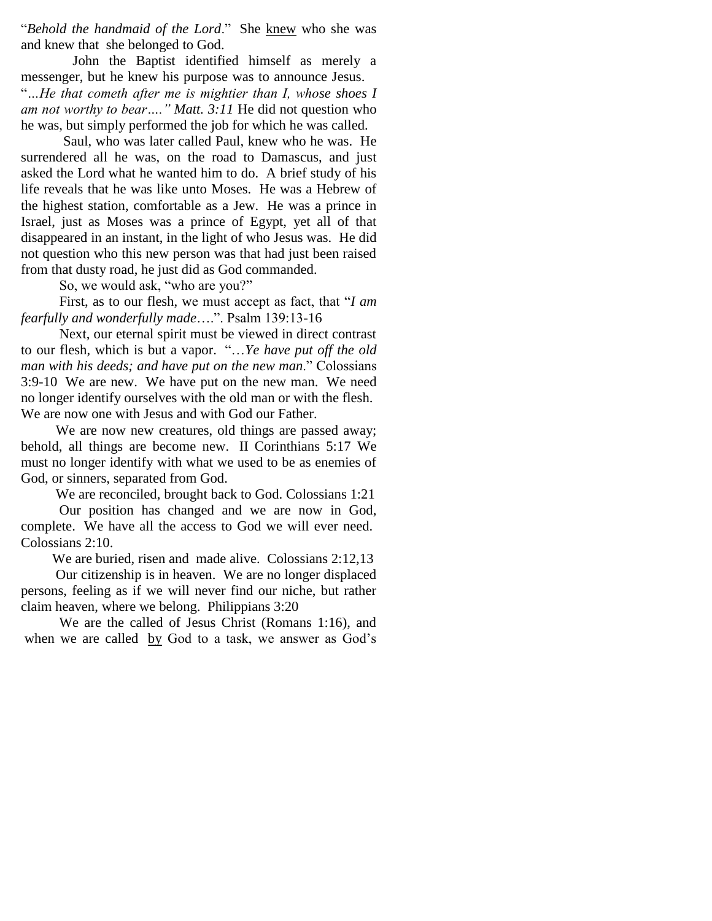―*Behold the handmaid of the Lord*.‖ She knew who she was and knew that she belonged to God.

 John the Baptist identified himself as merely a messenger, but he knew his purpose was to announce Jesus. ―*…He that cometh after me is mightier than I, whose shoes I am not worthy to bear…." Matt. 3:11* He did not question who he was, but simply performed the job for which he was called.

 Saul, who was later called Paul, knew who he was. He surrendered all he was, on the road to Damascus, and just asked the Lord what he wanted him to do. A brief study of his life reveals that he was like unto Moses. He was a Hebrew of the highest station, comfortable as a Jew. He was a prince in Israel, just as Moses was a prince of Egypt, yet all of that disappeared in an instant, in the light of who Jesus was. He did not question who this new person was that had just been raised from that dusty road, he just did as God commanded.

So, we would ask, "who are you?"

First, as to our flesh, we must accept as fact, that "I am *fearfully and wonderfully made*….‖. Psalm 139:13-16

 Next, our eternal spirit must be viewed in direct contrast to our flesh, which is but a vapor. ―…*Ye have put off the old man with his deeds; and have put on the new man.*" Colossians 3:9-10 We are new. We have put on the new man. We need no longer identify ourselves with the old man or with the flesh. We are now one with Jesus and with God our Father.

 We are now new creatures, old things are passed away; behold, all things are become new. II Corinthians 5:17 We must no longer identify with what we used to be as enemies of God, or sinners, separated from God.

We are reconciled, brought back to God. Colossians 1:21

 Our position has changed and we are now in God, complete. We have all the access to God we will ever need. Colossians 2:10.

We are buried, risen and made alive. Colossians 2:12,13

 Our citizenship is in heaven. We are no longer displaced persons, feeling as if we will never find our niche, but rather claim heaven, where we belong. Philippians 3:20

 We are the called of Jesus Christ (Romans 1:16), and when we are called by God to a task, we answer as God's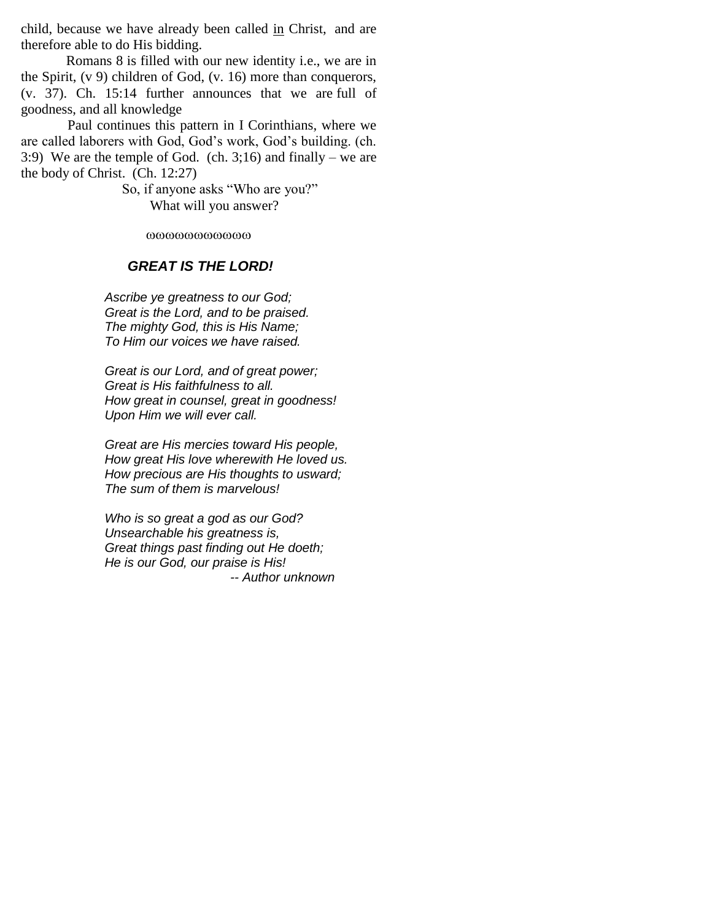child, because we have already been called in Christ, and are therefore able to do His bidding.

 Romans 8 is filled with our new identity i.e., we are in the Spirit, (v 9) children of God, (v. 16) more than conquerors, (v. 37). Ch. 15:14 further announces that we are full of goodness, and all knowledge

 Paul continues this pattern in I Corinthians, where we are called laborers with God, God's work, God's building. (ch. 3:9) We are the temple of God. (ch.  $3;16$ ) and finally – we are the body of Christ. (Ch. 12:27)

So, if anyone asks "Who are you?" What will you answer?

 $0000000000000$ 

# *GREAT IS THE LORD!*

 *Ascribe ye greatness to our God; Great is the Lord, and to be praised. The mighty God, this is His Name; To Him our voices we have raised.*

 *Great is our Lord, and of great power; Great is His faithfulness to all. How great in counsel, great in goodness! Upon Him we will ever call.*

*Great are His mercies toward His people, How great His love wherewith He loved us. How precious are His thoughts to usward; The sum of them is marvelous!*

*Who is so great a god as our God? Unsearchable his greatness is, Great things past finding out He doeth; He is our God, our praise is His! -- Author unknown*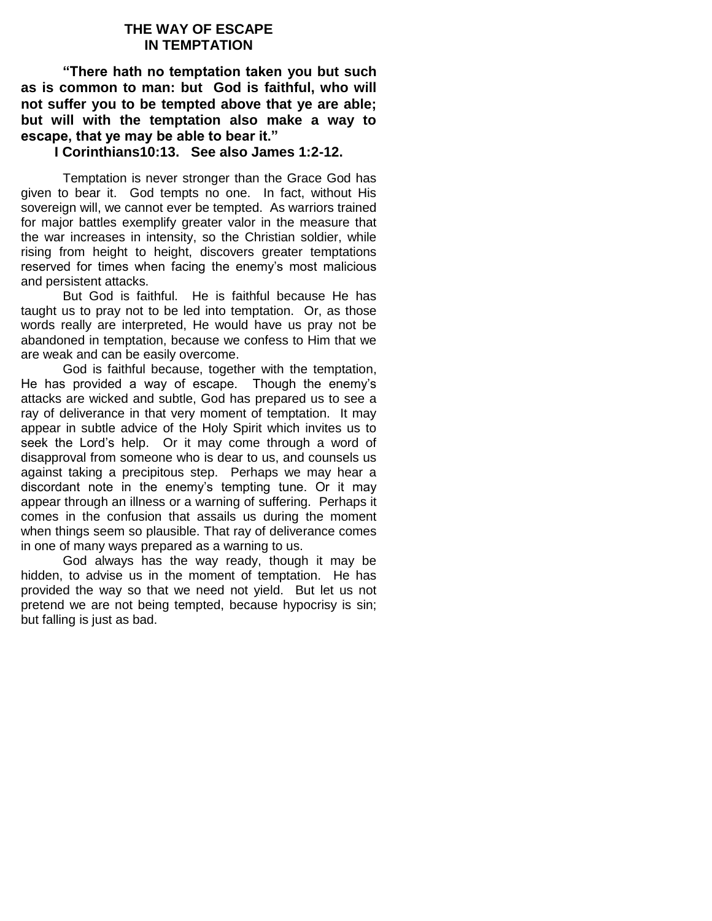# **THE WAY OF ESCAPE IN TEMPTATION**

**"There hath no temptation taken you but such as is common to man: but God is faithful, who will not suffer you to be tempted above that ye are able; but will with the temptation also make a way to escape, that ye may be able to bear it."** 

# **I Corinthians10:13. See also James 1:2-12.**

Temptation is never stronger than the Grace God has given to bear it. God tempts no one. In fact, without His sovereign will, we cannot ever be tempted. As warriors trained for major battles exemplify greater valor in the measure that the war increases in intensity, so the Christian soldier, while rising from height to height, discovers greater temptations reserved for times when facing the enemy's most malicious and persistent attacks.

But God is faithful. He is faithful because He has taught us to pray not to be led into temptation. Or, as those words really are interpreted, He would have us pray not be abandoned in temptation, because we confess to Him that we are weak and can be easily overcome.

God is faithful because, together with the temptation, He has provided a way of escape. Though the enemy's attacks are wicked and subtle, God has prepared us to see a ray of deliverance in that very moment of temptation. It may appear in subtle advice of the Holy Spirit which invites us to seek the Lord's help. Or it may come through a word of disapproval from someone who is dear to us, and counsels us against taking a precipitous step. Perhaps we may hear a discordant note in the enemy's tempting tune. Or it may appear through an illness or a warning of suffering. Perhaps it comes in the confusion that assails us during the moment when things seem so plausible. That ray of deliverance comes in one of many ways prepared as a warning to us.

God always has the way ready, though it may be hidden, to advise us in the moment of temptation. He has provided the way so that we need not yield. But let us not pretend we are not being tempted, because hypocrisy is sin; but falling is just as bad.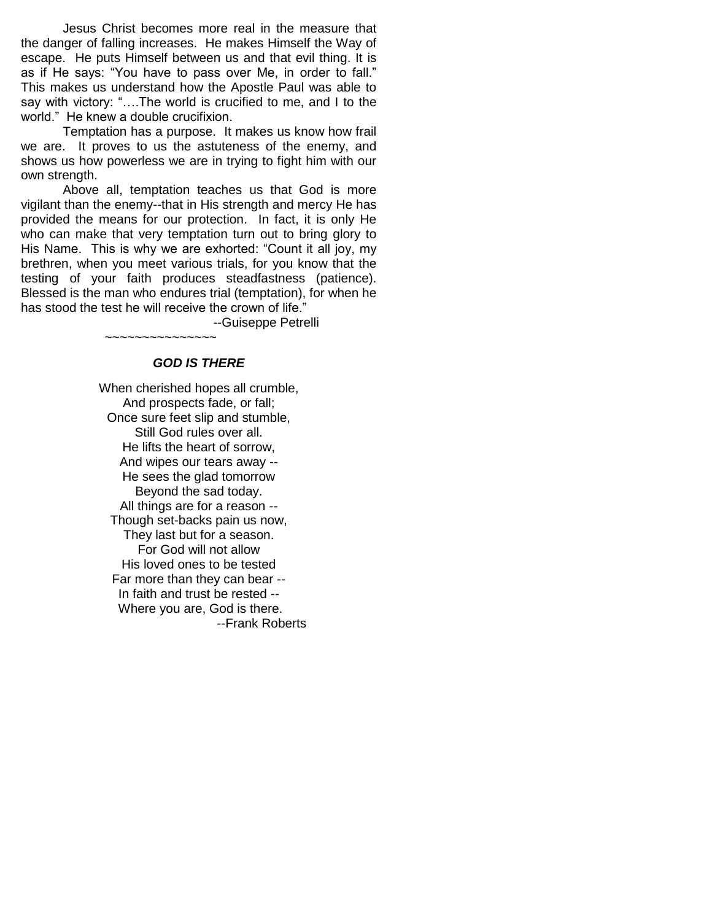Jesus Christ becomes more real in the measure that the danger of falling increases. He makes Himself the Way of escape. He puts Himself between us and that evil thing. It is as if He says: "You have to pass over Me, in order to fall." This makes us understand how the Apostle Paul was able to say with victory: "….The world is crucified to me, and I to the world." He knew a double crucifixion.

Temptation has a purpose. It makes us know how frail we are. It proves to us the astuteness of the enemy, and shows us how powerless we are in trying to fight him with our own strength.

Above all, temptation teaches us that God is more vigilant than the enemy--that in His strength and mercy He has provided the means for our protection. In fact, it is only He who can make that very temptation turn out to bring glory to His Name. This is why we are exhorted: "Count it all joy, my brethren, when you meet various trials, for you know that the testing of your faith produces steadfastness (patience). Blessed is the man who endures trial (temptation), for when he has stood the test he will receive the crown of life."

--Guiseppe Petrelli

### *GOD IS THERE*

~~~~~~~~~~~~~~~

When cherished hopes all crumble, And prospects fade, or fall; Once sure feet slip and stumble, Still God rules over all. He lifts the heart of sorrow, And wipes our tears away -- He sees the glad tomorrow Beyond the sad today. All things are for a reason -- Though set-backs pain us now, They last but for a season. For God will not allow His loved ones to be tested Far more than they can bear -- In faith and trust be rested -- Where you are, God is there. --Frank Roberts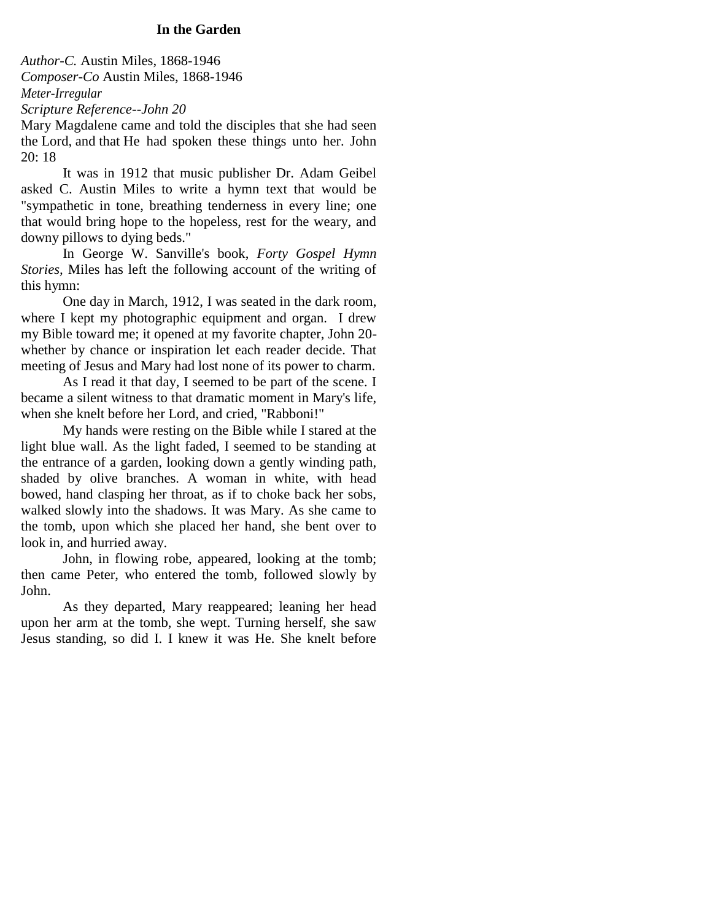## **In the Garden**

*Author-C.* Austin Miles, 1868-1946 *Composer-Co* Austin Miles, 1868-1946 *Meter-Irregular Scripture Reference--John 20* 

Mary Magdalene came and told the disciples that she had seen the Lord, and that He had spoken these things unto her. John 20: 18

It was in 1912 that music publisher Dr. Adam Geibel asked C. Austin Miles to write a hymn text that would be "sympathetic in tone, breathing tenderness in every line; one that would bring hope to the hopeless, rest for the weary, and downy pillows to dying beds."

In George W. Sanville's book, *Forty Gospel Hymn Stories,* Miles has left the following account of the writing of this hymn:

One day in March, 1912, I was seated in the dark room, where I kept my photographic equipment and organ. I drew my Bible toward me; it opened at my favorite chapter, John 20 whether by chance or inspiration let each reader decide. That meeting of Jesus and Mary had lost none of its power to charm.

As I read it that day, I seemed to be part of the scene. I became a silent witness to that dramatic moment in Mary's life, when she knelt before her Lord, and cried, "Rabboni!"

My hands were resting on the Bible while I stared at the light blue wall. As the light faded, I seemed to be standing at the entrance of a garden, looking down a gently winding path, shaded by olive branches. A woman in white, with head bowed, hand clasping her throat, as if to choke back her sobs, walked slowly into the shadows. It was Mary. As she came to the tomb, upon which she placed her hand, she bent over to look in, and hurried away.

John, in flowing robe, appeared, looking at the tomb; then came Peter, who entered the tomb, followed slowly by John.

As they departed, Mary reappeared; leaning her head upon her arm at the tomb, she wept. Turning herself, she saw Jesus standing, so did I. I knew it was He. She knelt before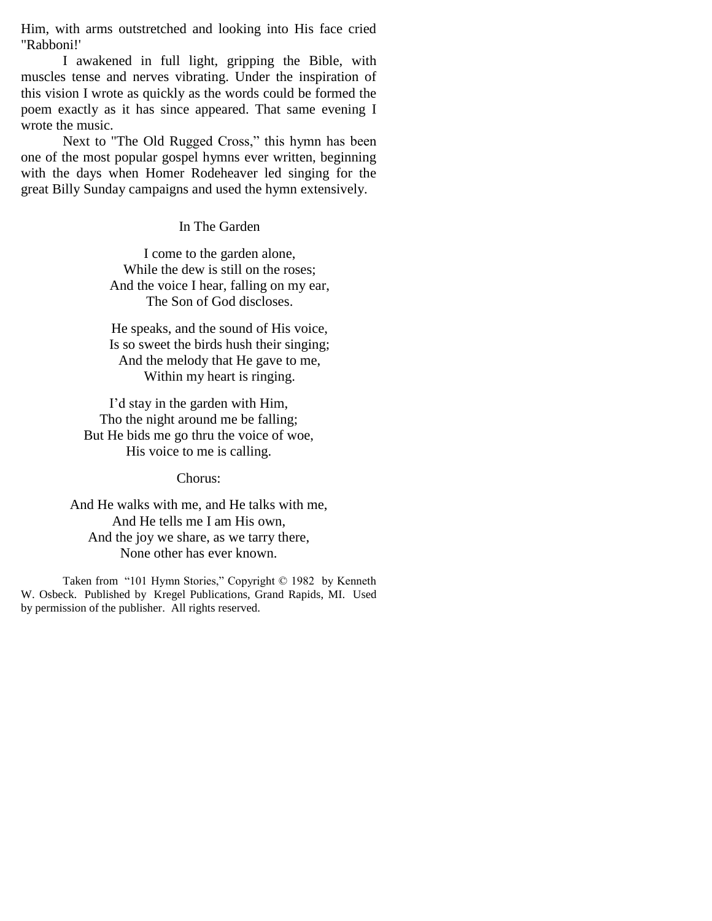Him, with arms outstretched and looking into His face cried "Rabboni!'

I awakened in full light, gripping the Bible, with muscles tense and nerves vibrating. Under the inspiration of this vision I wrote as quickly as the words could be formed the poem exactly as it has since appeared. That same evening I wrote the music.

Next to "The Old Rugged Cross," this hymn has been one of the most popular gospel hymns ever written, beginning with the days when Homer Rodeheaver led singing for the great Billy Sunday campaigns and used the hymn extensively.

In The Garden

I come to the garden alone, While the dew is still on the roses; And the voice I hear, falling on my ear, The Son of God discloses.

He speaks, and the sound of His voice, Is so sweet the birds hush their singing; And the melody that He gave to me, Within my heart is ringing.

I'd stay in the garden with Him, Tho the night around me be falling; But He bids me go thru the voice of woe, His voice to me is calling.

Chorus:

And He walks with me, and He talks with me, And He tells me I am His own, And the joy we share, as we tarry there, None other has ever known.

Taken from "101 Hymn Stories," Copyright © 1982 by Kenneth W. Osbeck. Published by Kregel Publications, Grand Rapids, MI. Used by permission of the publisher. All rights reserved.